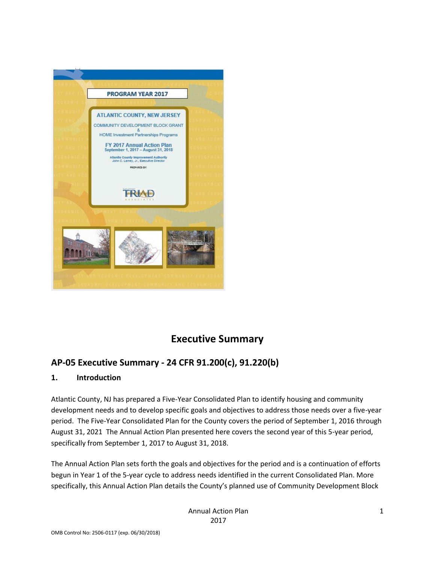

# **Executive Summary**

### **AP-05 Executive Summary - 24 CFR 91.200(c), 91.220(b)**

#### **1. Introduction**

Atlantic County, NJ has prepared a Five-Year Consolidated Plan to identify housing and community development needs and to develop specific goals and objectives to address those needs over a five-year period. The Five-Year Consolidated Plan for the County covers the period of September 1, 2016 through August 31, 2021 The Annual Action Plan presented here covers the second year of this 5-year period, specifically from September 1, 2017 to August 31, 2018.

The Annual Action Plan sets forth the goals and objectives for the period and is a continuation of efforts begun in Year 1 of the 5-year cycle to address needs identified in the current Consolidated Plan. More specifically, this Annual Action Plan details the County's planned use of Community Development Block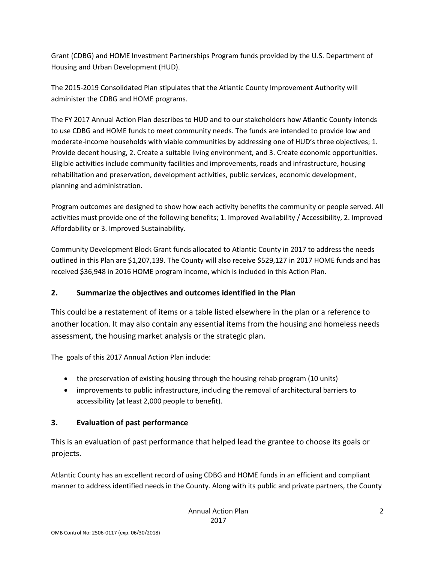Grant (CDBG) and HOME Investment Partnerships Program funds provided by the U.S. Department of Housing and Urban Development (HUD).

The 2015-2019 Consolidated Plan stipulates that the Atlantic County Improvement Authority will administer the CDBG and HOME programs.

The FY 2017 Annual Action Plan describes to HUD and to our stakeholders how Atlantic County intends to use CDBG and HOME funds to meet community needs. The funds are intended to provide low and moderate-income households with viable communities by addressing one of HUD's three objectives; 1. Provide decent housing, 2. Create a suitable living environment, and 3. Create economic opportunities. Eligible activities include community facilities and improvements, roads and infrastructure, housing rehabilitation and preservation, development activities, public services, economic development, planning and administration.

Program outcomes are designed to show how each activity benefits the community or people served. All activities must provide one of the following benefits; 1. Improved Availability / Accessibility, 2. Improved Affordability or 3. Improved Sustainability.

Community Development Block Grant funds allocated to Atlantic County in 2017 to address the needs outlined in this Plan are \$1,207,139. The County will also receive \$529,127 in 2017 HOME funds and has received \$36,948 in 2016 HOME program income, which is included in this Action Plan.

#### **2. Summarize the objectives and outcomes identified in the Plan**

This could be a restatement of items or a table listed elsewhere in the plan or a reference to another location. It may also contain any essential items from the housing and homeless needs assessment, the housing market analysis or the strategic plan.

The goals of this 2017 Annual Action Plan include:

- the preservation of existing housing through the housing rehab program (10 units)
- improvements to public infrastructure, including the removal of architectural barriers to accessibility (at least 2,000 people to benefit).

### **3. Evaluation of past performance**

This is an evaluation of past performance that helped lead the grantee to choose its goals or projects.

Atlantic County has an excellent record of using CDBG and HOME funds in an efficient and compliant manner to address identified needs in the County. Along with its public and private partners, the County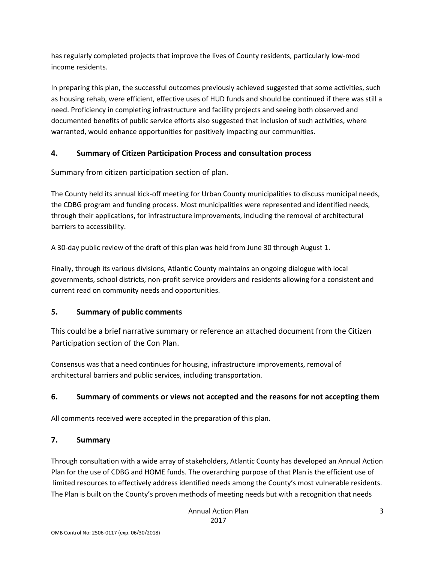has regularly completed projects that improve the lives of County residents, particularly low-mod income residents.

In preparing this plan, the successful outcomes previously achieved suggested that some activities, such as housing rehab, were efficient, effective uses of HUD funds and should be continued if there was still a need. Proficiency in completing infrastructure and facility projects and seeing both observed and documented benefits of public service efforts also suggested that inclusion of such activities, where warranted, would enhance opportunities for positively impacting our communities.

#### **4. Summary of Citizen Participation Process and consultation process**

Summary from citizen participation section of plan.

The County held its annual kick-off meeting for Urban County municipalities to discuss municipal needs, the CDBG program and funding process. Most municipalities were represented and identified needs, through their applications, for infrastructure improvements, including the removal of architectural barriers to accessibility.

A 30-day public review of the draft of this plan was held from June 30 through August 1.

Finally, through its various divisions, Atlantic County maintains an ongoing dialogue with local governments, school districts, non-profit service providers and residents allowing for a consistent and current read on community needs and opportunities.

#### **5. Summary of public comments**

This could be a brief narrative summary or reference an attached document from the Citizen Participation section of the Con Plan.

Consensus was that a need continues for housing, infrastructure improvements, removal of architectural barriers and public services, including transportation.

#### **6. Summary of comments or views not accepted and the reasons for not accepting them**

All comments received were accepted in the preparation of this plan.

#### **7. Summary**

Through consultation with a wide array of stakeholders, Atlantic County has developed an Annual Action Plan for the use of CDBG and HOME funds. The overarching purpose of that Plan is the efficient use of limited resources to effectively address identified needs among the County's most vulnerable residents. The Plan is built on the County's proven methods of meeting needs but with a recognition that needs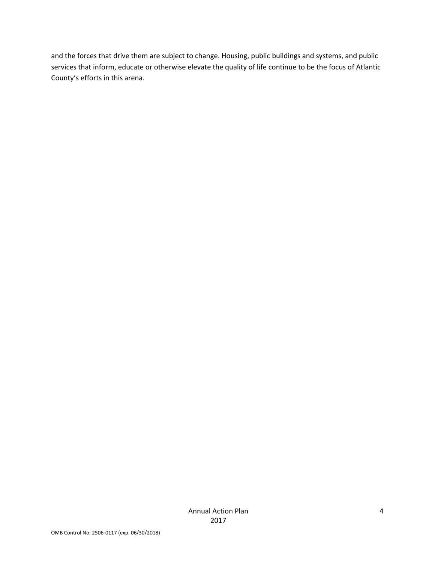and the forces that drive them are subject to change. Housing, public buildings and systems, and public services that inform, educate or otherwise elevate the quality of life continue to be the focus of Atlantic County's efforts in this arena.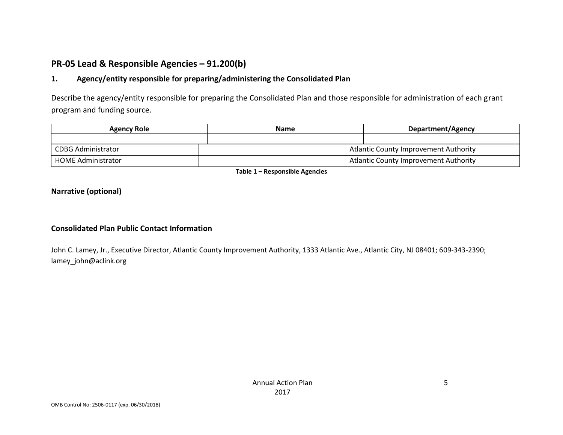### **PR-05 Lead & Responsible Agencies – 91.200(b)**

#### **1. Agency/entity responsible for preparing/administering the Consolidated Plan**

Describe the agency/entity responsible for preparing the Consolidated Plan and those responsible for administration of each grant program and funding source.

| <b>Agency Role</b>        | <b>Name</b> | <b>Department/Agency</b>                     |
|---------------------------|-------------|----------------------------------------------|
|                           |             |                                              |
| <b>CDBG Administrator</b> |             | Atlantic County Improvement Authority        |
| <b>HOME Administrator</b> |             | <b>Atlantic County Improvement Authority</b> |

**Table 1 – Responsible Agencies**

#### **Narrative (optional)**

#### **Consolidated Plan Public Contact Information**

John C. Lamey, Jr., Executive Director, Atlantic County Improvement Authority, 1333 Atlantic Ave., Atlantic City, NJ 08401; 609-343-2390; lamey\_john@aclink.org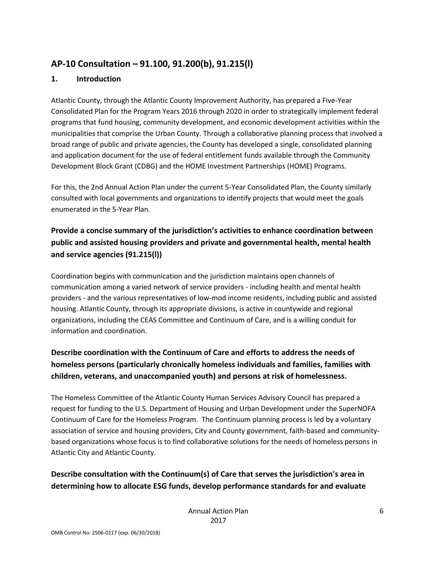### **AP-10 Consultation – 91.100, 91.200(b), 91.215(l)**

#### **1. Introduction**

Atlantic County, through the Atlantic County Improvement Authority, has prepared a Five-Year Consolidated Plan for the Program Years 2016 through 2020 in order to strategically implement federal programs that fund housing, community development, and economic development activities within the municipalities that comprise the Urban County. Through a collaborative planning process that involved a broad range of public and private agencies, the County has developed a single, consolidated planning and application document for the use of federal entitlement funds available through the Community Development Block Grant (CDBG) and the HOME Investment Partnerships (HOME) Programs.

For this, the 2nd Annual Action Plan under the current 5-Year Consolidated Plan, the County similarly consulted with local governments and organizations to identify projects that would meet the goals enumerated in the 5-Year Plan.

### **Provide a concise summary of the jurisdiction's activities to enhance coordination between public and assisted housing providers and private and governmental health, mental health and service agencies (91.215(l))**

Coordination begins with communication and the jurisdiction maintains open channels of communication among a varied network of service providers - including health and mental health providers - and the various representatives of low-mod income residents, including public and assisted housing. Atlantic County, through its appropriate divisions, is active in countywide and regional organizations, including the CEAS Committee and Continuum of Care, and is a willing conduit for information and coordination.

### **Describe coordination with the Continuum of Care and efforts to address the needs of homeless persons (particularly chronically homeless individuals and families, families with children, veterans, and unaccompanied youth) and persons at risk of homelessness.**

The Homeless Committee of the Atlantic County Human Services Advisory Council has prepared a request for funding to the U.S. Department of Housing and Urban Development under the SuperNOFA Continuum of Care for the Homeless Program. The Continuum planning process is led by a voluntary association of service and housing providers, City and County government, faith-based and communitybased organizations whose focus is to find collaborative solutions for the needs of homeless persons in Atlantic City and Atlantic County.

### **Describe consultation with the Continuum(s) of Care that serves the jurisdiction's area in determining how to allocate ESG funds, develop performance standards for and evaluate**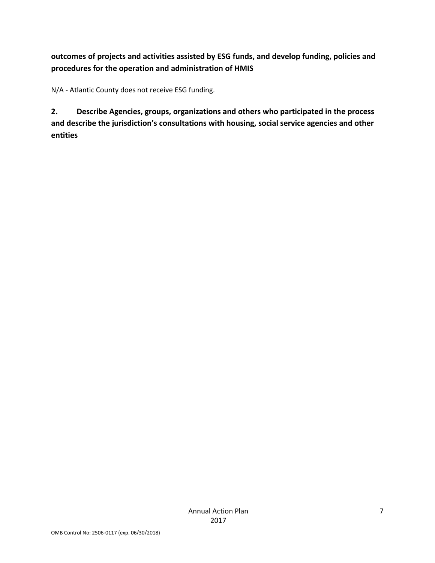### **outcomes of projects and activities assisted by ESG funds, and develop funding, policies and procedures for the operation and administration of HMIS**

N/A - Atlantic County does not receive ESG funding.

**2. Describe Agencies, groups, organizations and others who participated in the process and describe the jurisdiction's consultations with housing, social service agencies and other entities**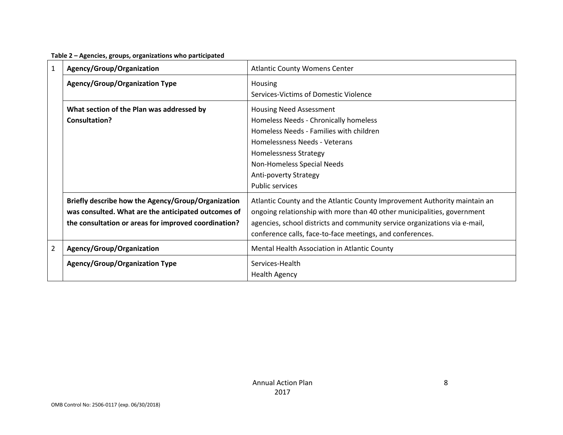|  | Table 2 - Agencies, groups, organizations who participated |  |
|--|------------------------------------------------------------|--|
|--|------------------------------------------------------------|--|

| $\mathbf{1}$   | Agency/Group/Organization                                                                                                                                         | <b>Atlantic County Womens Center</b>                                                                                                                                                                                                                                                            |
|----------------|-------------------------------------------------------------------------------------------------------------------------------------------------------------------|-------------------------------------------------------------------------------------------------------------------------------------------------------------------------------------------------------------------------------------------------------------------------------------------------|
|                | <b>Agency/Group/Organization Type</b>                                                                                                                             | Housing<br>Services-Victims of Domestic Violence                                                                                                                                                                                                                                                |
|                | What section of the Plan was addressed by<br>Consultation?                                                                                                        | <b>Housing Need Assessment</b><br>Homeless Needs - Chronically homeless<br>Homeless Needs - Families with children<br>Homelessness Needs - Veterans<br><b>Homelessness Strategy</b><br>Non-Homeless Special Needs<br>Anti-poverty Strategy<br><b>Public services</b>                            |
|                | Briefly describe how the Agency/Group/Organization<br>was consulted. What are the anticipated outcomes of<br>the consultation or areas for improved coordination? | Atlantic County and the Atlantic County Improvement Authority maintain an<br>ongoing relationship with more than 40 other municipalities, government<br>agencies, school districts and community service organizations via e-mail,<br>conference calls, face-to-face meetings, and conferences. |
| $\overline{2}$ | Agency/Group/Organization                                                                                                                                         | Mental Health Association in Atlantic County                                                                                                                                                                                                                                                    |
|                | <b>Agency/Group/Organization Type</b>                                                                                                                             | Services-Health<br><b>Health Agency</b>                                                                                                                                                                                                                                                         |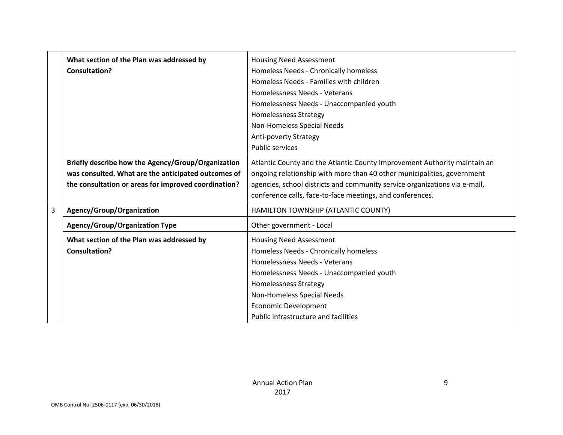|   | What section of the Plan was addressed by            | <b>Housing Need Assessment</b>                                             |
|---|------------------------------------------------------|----------------------------------------------------------------------------|
|   | <b>Consultation?</b>                                 | Homeless Needs - Chronically homeless                                      |
|   |                                                      | Homeless Needs - Families with children                                    |
|   |                                                      | Homelessness Needs - Veterans                                              |
|   |                                                      | Homelessness Needs - Unaccompanied youth                                   |
|   |                                                      | <b>Homelessness Strategy</b>                                               |
|   |                                                      | Non-Homeless Special Needs                                                 |
|   |                                                      | Anti-poverty Strategy                                                      |
|   |                                                      | <b>Public services</b>                                                     |
|   | Briefly describe how the Agency/Group/Organization   | Atlantic County and the Atlantic County Improvement Authority maintain an  |
|   | was consulted. What are the anticipated outcomes of  | ongoing relationship with more than 40 other municipalities, government    |
|   | the consultation or areas for improved coordination? | agencies, school districts and community service organizations via e-mail, |
|   |                                                      | conference calls, face-to-face meetings, and conferences.                  |
| 3 | Agency/Group/Organization                            | HAMILTON TOWNSHIP (ATLANTIC COUNTY)                                        |
|   | <b>Agency/Group/Organization Type</b>                | Other government - Local                                                   |
|   | What section of the Plan was addressed by            | <b>Housing Need Assessment</b>                                             |
|   | <b>Consultation?</b>                                 | Homeless Needs - Chronically homeless                                      |
|   |                                                      | Homelessness Needs - Veterans                                              |
|   |                                                      | Homelessness Needs - Unaccompanied youth                                   |
|   |                                                      | <b>Homelessness Strategy</b>                                               |
|   |                                                      | Non-Homeless Special Needs                                                 |
|   |                                                      | <b>Economic Development</b>                                                |
|   |                                                      | Public infrastructure and facilities                                       |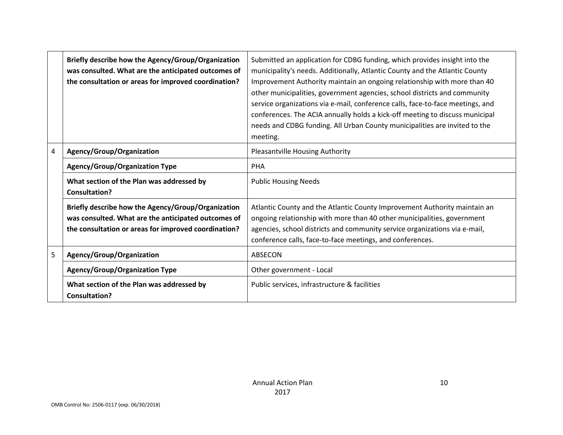|   | Briefly describe how the Agency/Group/Organization<br>was consulted. What are the anticipated outcomes of<br>the consultation or areas for improved coordination? | Submitted an application for CDBG funding, which provides insight into the<br>municipality's needs. Additionally, Atlantic County and the Atlantic County<br>Improvement Authority maintain an ongoing relationship with more than 40<br>other municipalities, government agencies, school districts and community<br>service organizations via e-mail, conference calls, face-to-face meetings, and<br>conferences. The ACIA annually holds a kick-off meeting to discuss municipal<br>needs and CDBG funding. All Urban County municipalities are invited to the<br>meeting. |
|---|-------------------------------------------------------------------------------------------------------------------------------------------------------------------|--------------------------------------------------------------------------------------------------------------------------------------------------------------------------------------------------------------------------------------------------------------------------------------------------------------------------------------------------------------------------------------------------------------------------------------------------------------------------------------------------------------------------------------------------------------------------------|
| 4 | Agency/Group/Organization                                                                                                                                         | <b>Pleasantville Housing Authority</b>                                                                                                                                                                                                                                                                                                                                                                                                                                                                                                                                         |
|   | <b>Agency/Group/Organization Type</b>                                                                                                                             | <b>PHA</b>                                                                                                                                                                                                                                                                                                                                                                                                                                                                                                                                                                     |
|   | What section of the Plan was addressed by<br><b>Consultation?</b>                                                                                                 | <b>Public Housing Needs</b>                                                                                                                                                                                                                                                                                                                                                                                                                                                                                                                                                    |
|   | Briefly describe how the Agency/Group/Organization<br>was consulted. What are the anticipated outcomes of<br>the consultation or areas for improved coordination? | Atlantic County and the Atlantic County Improvement Authority maintain an<br>ongoing relationship with more than 40 other municipalities, government<br>agencies, school districts and community service organizations via e-mail,<br>conference calls, face-to-face meetings, and conferences.                                                                                                                                                                                                                                                                                |
| 5 | Agency/Group/Organization                                                                                                                                         | ABSECON                                                                                                                                                                                                                                                                                                                                                                                                                                                                                                                                                                        |
|   | <b>Agency/Group/Organization Type</b>                                                                                                                             | Other government - Local                                                                                                                                                                                                                                                                                                                                                                                                                                                                                                                                                       |
|   | What section of the Plan was addressed by<br><b>Consultation?</b>                                                                                                 | Public services, infrastructure & facilities                                                                                                                                                                                                                                                                                                                                                                                                                                                                                                                                   |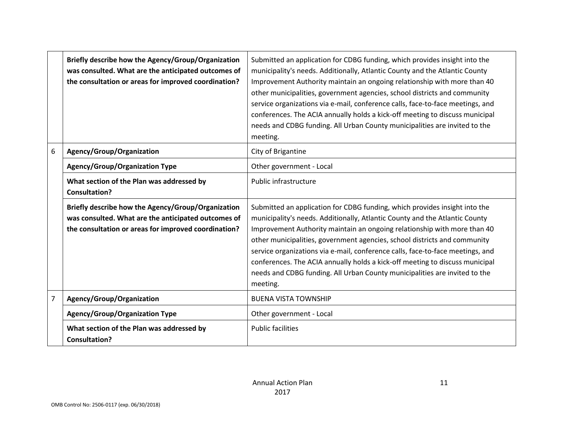|   | Briefly describe how the Agency/Group/Organization<br>was consulted. What are the anticipated outcomes of<br>the consultation or areas for improved coordination? | Submitted an application for CDBG funding, which provides insight into the<br>municipality's needs. Additionally, Atlantic County and the Atlantic County<br>Improvement Authority maintain an ongoing relationship with more than 40<br>other municipalities, government agencies, school districts and community<br>service organizations via e-mail, conference calls, face-to-face meetings, and<br>conferences. The ACIA annually holds a kick-off meeting to discuss municipal<br>needs and CDBG funding. All Urban County municipalities are invited to the<br>meeting. |
|---|-------------------------------------------------------------------------------------------------------------------------------------------------------------------|--------------------------------------------------------------------------------------------------------------------------------------------------------------------------------------------------------------------------------------------------------------------------------------------------------------------------------------------------------------------------------------------------------------------------------------------------------------------------------------------------------------------------------------------------------------------------------|
| 6 | Agency/Group/Organization                                                                                                                                         | City of Brigantine                                                                                                                                                                                                                                                                                                                                                                                                                                                                                                                                                             |
|   | <b>Agency/Group/Organization Type</b>                                                                                                                             | Other government - Local                                                                                                                                                                                                                                                                                                                                                                                                                                                                                                                                                       |
|   | What section of the Plan was addressed by<br><b>Consultation?</b>                                                                                                 | Public infrastructure                                                                                                                                                                                                                                                                                                                                                                                                                                                                                                                                                          |
|   | Briefly describe how the Agency/Group/Organization<br>was consulted. What are the anticipated outcomes of<br>the consultation or areas for improved coordination? | Submitted an application for CDBG funding, which provides insight into the<br>municipality's needs. Additionally, Atlantic County and the Atlantic County<br>Improvement Authority maintain an ongoing relationship with more than 40<br>other municipalities, government agencies, school districts and community<br>service organizations via e-mail, conference calls, face-to-face meetings, and<br>conferences. The ACIA annually holds a kick-off meeting to discuss municipal<br>needs and CDBG funding. All Urban County municipalities are invited to the<br>meeting. |
| 7 | Agency/Group/Organization                                                                                                                                         | <b>BUENA VISTA TOWNSHIP</b>                                                                                                                                                                                                                                                                                                                                                                                                                                                                                                                                                    |
|   | <b>Agency/Group/Organization Type</b>                                                                                                                             | Other government - Local                                                                                                                                                                                                                                                                                                                                                                                                                                                                                                                                                       |
|   | What section of the Plan was addressed by<br><b>Consultation?</b>                                                                                                 | <b>Public facilities</b>                                                                                                                                                                                                                                                                                                                                                                                                                                                                                                                                                       |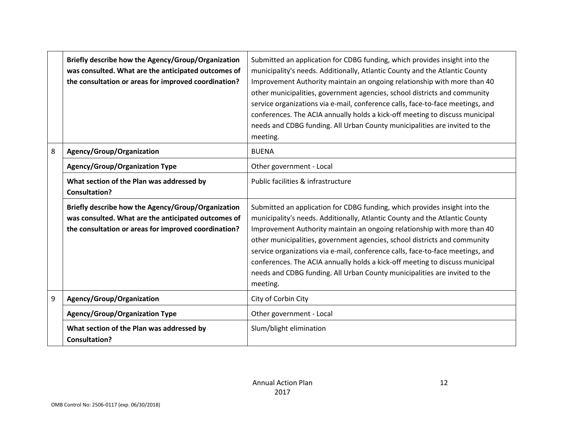|   | Briefly describe how the Agency/Group/Organization<br>was consulted. What are the anticipated outcomes of<br>the consultation or areas for improved coordination? | Submitted an application for CDBG funding, which provides insight into the<br>municipality's needs. Additionally, Atlantic County and the Atlantic County<br>Improvement Authority maintain an ongoing relationship with more than 40<br>other municipalities, government agencies, school districts and community<br>service organizations via e-mail, conference calls, face-to-face meetings, and<br>conferences. The ACIA annually holds a kick-off meeting to discuss municipal<br>needs and CDBG funding. All Urban County municipalities are invited to the<br>meeting. |
|---|-------------------------------------------------------------------------------------------------------------------------------------------------------------------|--------------------------------------------------------------------------------------------------------------------------------------------------------------------------------------------------------------------------------------------------------------------------------------------------------------------------------------------------------------------------------------------------------------------------------------------------------------------------------------------------------------------------------------------------------------------------------|
| 8 | Agency/Group/Organization                                                                                                                                         | <b>BUENA</b>                                                                                                                                                                                                                                                                                                                                                                                                                                                                                                                                                                   |
|   | <b>Agency/Group/Organization Type</b>                                                                                                                             | Other government - Local                                                                                                                                                                                                                                                                                                                                                                                                                                                                                                                                                       |
|   | What section of the Plan was addressed by<br><b>Consultation?</b>                                                                                                 | Public facilities & infrastructure                                                                                                                                                                                                                                                                                                                                                                                                                                                                                                                                             |
|   | Briefly describe how the Agency/Group/Organization<br>was consulted. What are the anticipated outcomes of<br>the consultation or areas for improved coordination? | Submitted an application for CDBG funding, which provides insight into the<br>municipality's needs. Additionally, Atlantic County and the Atlantic County<br>Improvement Authority maintain an ongoing relationship with more than 40<br>other municipalities, government agencies, school districts and community<br>service organizations via e-mail, conference calls, face-to-face meetings, and<br>conferences. The ACIA annually holds a kick-off meeting to discuss municipal<br>needs and CDBG funding. All Urban County municipalities are invited to the<br>meeting. |
| 9 | Agency/Group/Organization                                                                                                                                         | City of Corbin City                                                                                                                                                                                                                                                                                                                                                                                                                                                                                                                                                            |
|   | <b>Agency/Group/Organization Type</b>                                                                                                                             | Other government - Local                                                                                                                                                                                                                                                                                                                                                                                                                                                                                                                                                       |
|   | What section of the Plan was addressed by<br><b>Consultation?</b>                                                                                                 | Slum/blight elimination                                                                                                                                                                                                                                                                                                                                                                                                                                                                                                                                                        |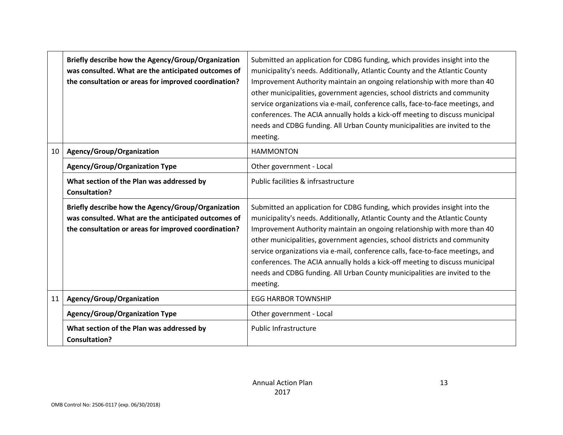|    | Briefly describe how the Agency/Group/Organization<br>was consulted. What are the anticipated outcomes of<br>the consultation or areas for improved coordination? | Submitted an application for CDBG funding, which provides insight into the<br>municipality's needs. Additionally, Atlantic County and the Atlantic County<br>Improvement Authority maintain an ongoing relationship with more than 40<br>other municipalities, government agencies, school districts and community<br>service organizations via e-mail, conference calls, face-to-face meetings, and<br>conferences. The ACIA annually holds a kick-off meeting to discuss municipal<br>needs and CDBG funding. All Urban County municipalities are invited to the<br>meeting. |
|----|-------------------------------------------------------------------------------------------------------------------------------------------------------------------|--------------------------------------------------------------------------------------------------------------------------------------------------------------------------------------------------------------------------------------------------------------------------------------------------------------------------------------------------------------------------------------------------------------------------------------------------------------------------------------------------------------------------------------------------------------------------------|
| 10 | Agency/Group/Organization                                                                                                                                         | <b>HAMMONTON</b>                                                                                                                                                                                                                                                                                                                                                                                                                                                                                                                                                               |
|    | <b>Agency/Group/Organization Type</b>                                                                                                                             | Other government - Local                                                                                                                                                                                                                                                                                                                                                                                                                                                                                                                                                       |
|    | What section of the Plan was addressed by<br><b>Consultation?</b>                                                                                                 | Public facilities & infrsastructure                                                                                                                                                                                                                                                                                                                                                                                                                                                                                                                                            |
|    | Briefly describe how the Agency/Group/Organization<br>was consulted. What are the anticipated outcomes of<br>the consultation or areas for improved coordination? | Submitted an application for CDBG funding, which provides insight into the<br>municipality's needs. Additionally, Atlantic County and the Atlantic County<br>Improvement Authority maintain an ongoing relationship with more than 40<br>other municipalities, government agencies, school districts and community<br>service organizations via e-mail, conference calls, face-to-face meetings, and<br>conferences. The ACIA annually holds a kick-off meeting to discuss municipal<br>needs and CDBG funding. All Urban County municipalities are invited to the<br>meeting. |
| 11 | Agency/Group/Organization                                                                                                                                         | <b>EGG HARBOR TOWNSHIP</b>                                                                                                                                                                                                                                                                                                                                                                                                                                                                                                                                                     |
|    | <b>Agency/Group/Organization Type</b>                                                                                                                             | Other government - Local                                                                                                                                                                                                                                                                                                                                                                                                                                                                                                                                                       |
|    | What section of the Plan was addressed by<br><b>Consultation?</b>                                                                                                 | <b>Public Infrastructure</b>                                                                                                                                                                                                                                                                                                                                                                                                                                                                                                                                                   |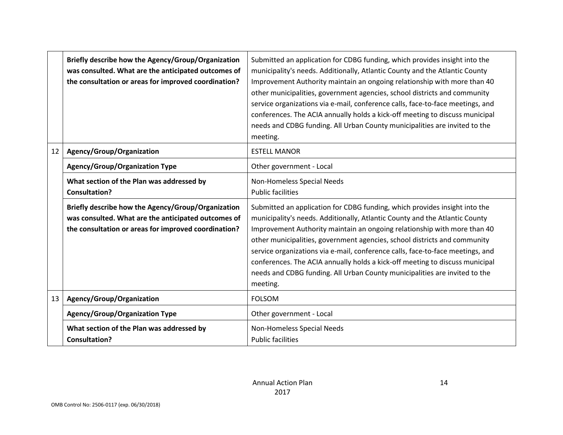|    | Briefly describe how the Agency/Group/Organization<br>was consulted. What are the anticipated outcomes of<br>the consultation or areas for improved coordination? | Submitted an application for CDBG funding, which provides insight into the<br>municipality's needs. Additionally, Atlantic County and the Atlantic County<br>Improvement Authority maintain an ongoing relationship with more than 40<br>other municipalities, government agencies, school districts and community<br>service organizations via e-mail, conference calls, face-to-face meetings, and<br>conferences. The ACIA annually holds a kick-off meeting to discuss municipal<br>needs and CDBG funding. All Urban County municipalities are invited to the<br>meeting. |
|----|-------------------------------------------------------------------------------------------------------------------------------------------------------------------|--------------------------------------------------------------------------------------------------------------------------------------------------------------------------------------------------------------------------------------------------------------------------------------------------------------------------------------------------------------------------------------------------------------------------------------------------------------------------------------------------------------------------------------------------------------------------------|
| 12 | Agency/Group/Organization                                                                                                                                         | <b>ESTELL MANOR</b>                                                                                                                                                                                                                                                                                                                                                                                                                                                                                                                                                            |
|    | <b>Agency/Group/Organization Type</b>                                                                                                                             | Other government - Local                                                                                                                                                                                                                                                                                                                                                                                                                                                                                                                                                       |
|    | What section of the Plan was addressed by<br><b>Consultation?</b>                                                                                                 | Non-Homeless Special Needs<br><b>Public facilities</b>                                                                                                                                                                                                                                                                                                                                                                                                                                                                                                                         |
|    | Briefly describe how the Agency/Group/Organization<br>was consulted. What are the anticipated outcomes of<br>the consultation or areas for improved coordination? | Submitted an application for CDBG funding, which provides insight into the<br>municipality's needs. Additionally, Atlantic County and the Atlantic County<br>Improvement Authority maintain an ongoing relationship with more than 40<br>other municipalities, government agencies, school districts and community<br>service organizations via e-mail, conference calls, face-to-face meetings, and<br>conferences. The ACIA annually holds a kick-off meeting to discuss municipal<br>needs and CDBG funding. All Urban County municipalities are invited to the<br>meeting. |
| 13 | Agency/Group/Organization                                                                                                                                         | <b>FOLSOM</b>                                                                                                                                                                                                                                                                                                                                                                                                                                                                                                                                                                  |
|    | <b>Agency/Group/Organization Type</b>                                                                                                                             | Other government - Local                                                                                                                                                                                                                                                                                                                                                                                                                                                                                                                                                       |
|    | What section of the Plan was addressed by<br><b>Consultation?</b>                                                                                                 | Non-Homeless Special Needs<br><b>Public facilities</b>                                                                                                                                                                                                                                                                                                                                                                                                                                                                                                                         |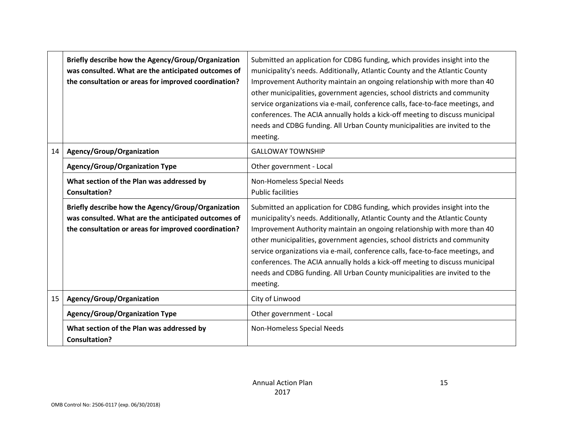|    | Briefly describe how the Agency/Group/Organization<br>was consulted. What are the anticipated outcomes of<br>the consultation or areas for improved coordination? | Submitted an application for CDBG funding, which provides insight into the<br>municipality's needs. Additionally, Atlantic County and the Atlantic County<br>Improvement Authority maintain an ongoing relationship with more than 40<br>other municipalities, government agencies, school districts and community<br>service organizations via e-mail, conference calls, face-to-face meetings, and<br>conferences. The ACIA annually holds a kick-off meeting to discuss municipal<br>needs and CDBG funding. All Urban County municipalities are invited to the<br>meeting. |
|----|-------------------------------------------------------------------------------------------------------------------------------------------------------------------|--------------------------------------------------------------------------------------------------------------------------------------------------------------------------------------------------------------------------------------------------------------------------------------------------------------------------------------------------------------------------------------------------------------------------------------------------------------------------------------------------------------------------------------------------------------------------------|
| 14 | Agency/Group/Organization                                                                                                                                         | <b>GALLOWAY TOWNSHIP</b>                                                                                                                                                                                                                                                                                                                                                                                                                                                                                                                                                       |
|    | <b>Agency/Group/Organization Type</b>                                                                                                                             | Other government - Local                                                                                                                                                                                                                                                                                                                                                                                                                                                                                                                                                       |
|    | What section of the Plan was addressed by<br><b>Consultation?</b>                                                                                                 | Non-Homeless Special Needs<br><b>Public facilities</b>                                                                                                                                                                                                                                                                                                                                                                                                                                                                                                                         |
|    | Briefly describe how the Agency/Group/Organization<br>was consulted. What are the anticipated outcomes of<br>the consultation or areas for improved coordination? | Submitted an application for CDBG funding, which provides insight into the<br>municipality's needs. Additionally, Atlantic County and the Atlantic County<br>Improvement Authority maintain an ongoing relationship with more than 40<br>other municipalities, government agencies, school districts and community<br>service organizations via e-mail, conference calls, face-to-face meetings, and<br>conferences. The ACIA annually holds a kick-off meeting to discuss municipal<br>needs and CDBG funding. All Urban County municipalities are invited to the<br>meeting. |
| 15 | Agency/Group/Organization                                                                                                                                         | City of Linwood                                                                                                                                                                                                                                                                                                                                                                                                                                                                                                                                                                |
|    | <b>Agency/Group/Organization Type</b>                                                                                                                             | Other government - Local                                                                                                                                                                                                                                                                                                                                                                                                                                                                                                                                                       |
|    | What section of the Plan was addressed by<br><b>Consultation?</b>                                                                                                 | Non-Homeless Special Needs                                                                                                                                                                                                                                                                                                                                                                                                                                                                                                                                                     |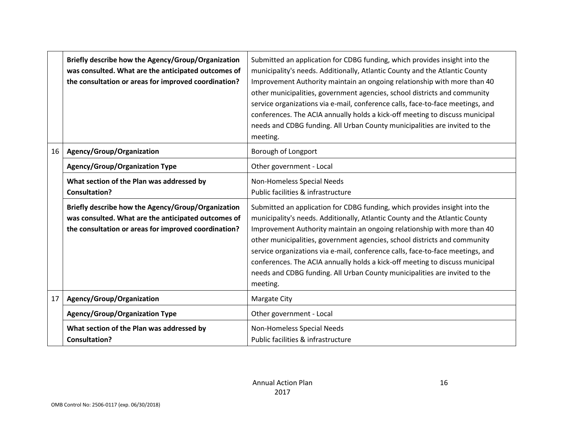|    | Briefly describe how the Agency/Group/Organization<br>was consulted. What are the anticipated outcomes of<br>the consultation or areas for improved coordination? | Submitted an application for CDBG funding, which provides insight into the<br>municipality's needs. Additionally, Atlantic County and the Atlantic County<br>Improvement Authority maintain an ongoing relationship with more than 40<br>other municipalities, government agencies, school districts and community<br>service organizations via e-mail, conference calls, face-to-face meetings, and<br>conferences. The ACIA annually holds a kick-off meeting to discuss municipal<br>needs and CDBG funding. All Urban County municipalities are invited to the<br>meeting. |
|----|-------------------------------------------------------------------------------------------------------------------------------------------------------------------|--------------------------------------------------------------------------------------------------------------------------------------------------------------------------------------------------------------------------------------------------------------------------------------------------------------------------------------------------------------------------------------------------------------------------------------------------------------------------------------------------------------------------------------------------------------------------------|
| 16 | Agency/Group/Organization                                                                                                                                         | Borough of Longport                                                                                                                                                                                                                                                                                                                                                                                                                                                                                                                                                            |
|    | Agency/Group/Organization Type                                                                                                                                    | Other government - Local                                                                                                                                                                                                                                                                                                                                                                                                                                                                                                                                                       |
|    | What section of the Plan was addressed by<br><b>Consultation?</b>                                                                                                 | Non-Homeless Special Needs<br>Public facilities & infrastructure                                                                                                                                                                                                                                                                                                                                                                                                                                                                                                               |
|    | Briefly describe how the Agency/Group/Organization<br>was consulted. What are the anticipated outcomes of<br>the consultation or areas for improved coordination? | Submitted an application for CDBG funding, which provides insight into the<br>municipality's needs. Additionally, Atlantic County and the Atlantic County<br>Improvement Authority maintain an ongoing relationship with more than 40<br>other municipalities, government agencies, school districts and community<br>service organizations via e-mail, conference calls, face-to-face meetings, and<br>conferences. The ACIA annually holds a kick-off meeting to discuss municipal<br>needs and CDBG funding. All Urban County municipalities are invited to the<br>meeting. |
| 17 | Agency/Group/Organization                                                                                                                                         | Margate City                                                                                                                                                                                                                                                                                                                                                                                                                                                                                                                                                                   |
|    | <b>Agency/Group/Organization Type</b>                                                                                                                             | Other government - Local                                                                                                                                                                                                                                                                                                                                                                                                                                                                                                                                                       |
|    | What section of the Plan was addressed by<br><b>Consultation?</b>                                                                                                 | Non-Homeless Special Needs<br>Public facilities & infrastructure                                                                                                                                                                                                                                                                                                                                                                                                                                                                                                               |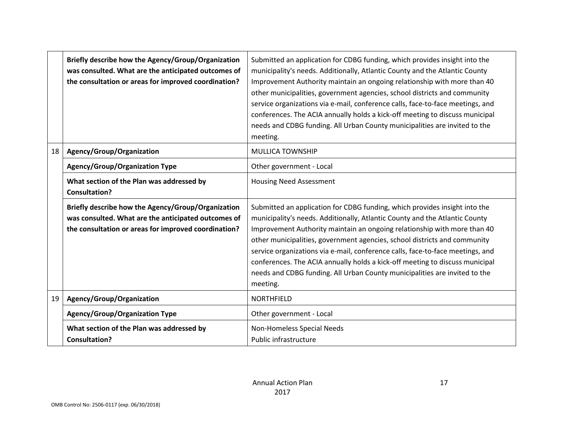|    | Briefly describe how the Agency/Group/Organization<br>was consulted. What are the anticipated outcomes of<br>the consultation or areas for improved coordination? | Submitted an application for CDBG funding, which provides insight into the<br>municipality's needs. Additionally, Atlantic County and the Atlantic County<br>Improvement Authority maintain an ongoing relationship with more than 40<br>other municipalities, government agencies, school districts and community<br>service organizations via e-mail, conference calls, face-to-face meetings, and<br>conferences. The ACIA annually holds a kick-off meeting to discuss municipal<br>needs and CDBG funding. All Urban County municipalities are invited to the<br>meeting. |
|----|-------------------------------------------------------------------------------------------------------------------------------------------------------------------|--------------------------------------------------------------------------------------------------------------------------------------------------------------------------------------------------------------------------------------------------------------------------------------------------------------------------------------------------------------------------------------------------------------------------------------------------------------------------------------------------------------------------------------------------------------------------------|
| 18 | Agency/Group/Organization                                                                                                                                         | <b>MULLICA TOWNSHIP</b>                                                                                                                                                                                                                                                                                                                                                                                                                                                                                                                                                        |
|    | <b>Agency/Group/Organization Type</b>                                                                                                                             | Other government - Local                                                                                                                                                                                                                                                                                                                                                                                                                                                                                                                                                       |
|    | What section of the Plan was addressed by<br><b>Consultation?</b>                                                                                                 | <b>Housing Need Assessment</b>                                                                                                                                                                                                                                                                                                                                                                                                                                                                                                                                                 |
|    | Briefly describe how the Agency/Group/Organization<br>was consulted. What are the anticipated outcomes of<br>the consultation or areas for improved coordination? | Submitted an application for CDBG funding, which provides insight into the<br>municipality's needs. Additionally, Atlantic County and the Atlantic County<br>Improvement Authority maintain an ongoing relationship with more than 40<br>other municipalities, government agencies, school districts and community<br>service organizations via e-mail, conference calls, face-to-face meetings, and<br>conferences. The ACIA annually holds a kick-off meeting to discuss municipal<br>needs and CDBG funding. All Urban County municipalities are invited to the<br>meeting. |
| 19 | Agency/Group/Organization                                                                                                                                         | <b>NORTHFIELD</b>                                                                                                                                                                                                                                                                                                                                                                                                                                                                                                                                                              |
|    | <b>Agency/Group/Organization Type</b>                                                                                                                             | Other government - Local                                                                                                                                                                                                                                                                                                                                                                                                                                                                                                                                                       |
|    | What section of the Plan was addressed by<br><b>Consultation?</b>                                                                                                 | Non-Homeless Special Needs<br>Public infrastructure                                                                                                                                                                                                                                                                                                                                                                                                                                                                                                                            |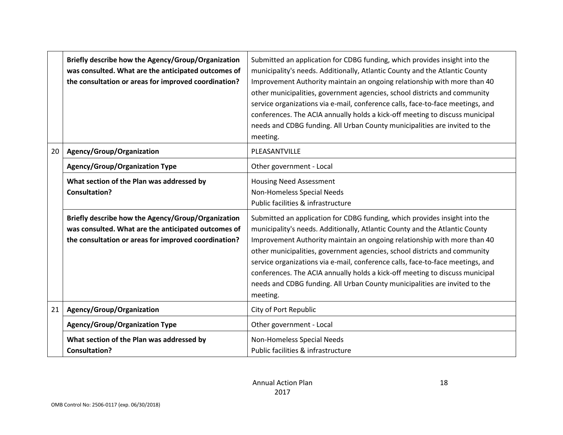|    | Briefly describe how the Agency/Group/Organization<br>was consulted. What are the anticipated outcomes of<br>the consultation or areas for improved coordination? | Submitted an application for CDBG funding, which provides insight into the<br>municipality's needs. Additionally, Atlantic County and the Atlantic County<br>Improvement Authority maintain an ongoing relationship with more than 40<br>other municipalities, government agencies, school districts and community<br>service organizations via e-mail, conference calls, face-to-face meetings, and<br>conferences. The ACIA annually holds a kick-off meeting to discuss municipal<br>needs and CDBG funding. All Urban County municipalities are invited to the<br>meeting. |
|----|-------------------------------------------------------------------------------------------------------------------------------------------------------------------|--------------------------------------------------------------------------------------------------------------------------------------------------------------------------------------------------------------------------------------------------------------------------------------------------------------------------------------------------------------------------------------------------------------------------------------------------------------------------------------------------------------------------------------------------------------------------------|
| 20 | Agency/Group/Organization                                                                                                                                         | PLEASANTVILLE                                                                                                                                                                                                                                                                                                                                                                                                                                                                                                                                                                  |
|    | <b>Agency/Group/Organization Type</b>                                                                                                                             | Other government - Local                                                                                                                                                                                                                                                                                                                                                                                                                                                                                                                                                       |
|    | What section of the Plan was addressed by<br><b>Consultation?</b>                                                                                                 | <b>Housing Need Assessment</b><br>Non-Homeless Special Needs<br>Public facilities & infrastructure                                                                                                                                                                                                                                                                                                                                                                                                                                                                             |
|    | Briefly describe how the Agency/Group/Organization<br>was consulted. What are the anticipated outcomes of<br>the consultation or areas for improved coordination? | Submitted an application for CDBG funding, which provides insight into the<br>municipality's needs. Additionally, Atlantic County and the Atlantic County<br>Improvement Authority maintain an ongoing relationship with more than 40<br>other municipalities, government agencies, school districts and community<br>service organizations via e-mail, conference calls, face-to-face meetings, and<br>conferences. The ACIA annually holds a kick-off meeting to discuss municipal<br>needs and CDBG funding. All Urban County municipalities are invited to the<br>meeting. |
| 21 | Agency/Group/Organization                                                                                                                                         | City of Port Republic                                                                                                                                                                                                                                                                                                                                                                                                                                                                                                                                                          |
|    | <b>Agency/Group/Organization Type</b>                                                                                                                             | Other government - Local                                                                                                                                                                                                                                                                                                                                                                                                                                                                                                                                                       |
|    | What section of the Plan was addressed by<br><b>Consultation?</b>                                                                                                 | Non-Homeless Special Needs<br>Public facilities & infrastructure                                                                                                                                                                                                                                                                                                                                                                                                                                                                                                               |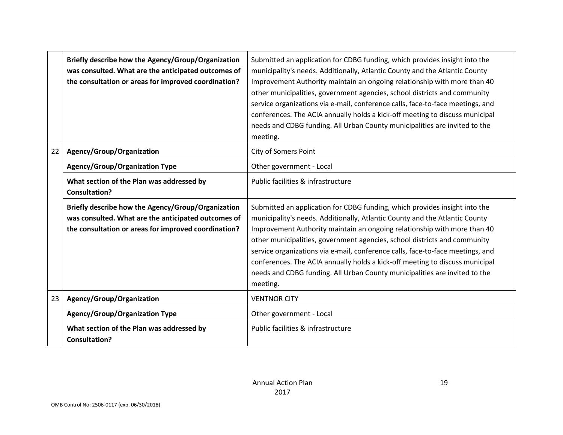|    | Briefly describe how the Agency/Group/Organization<br>was consulted. What are the anticipated outcomes of<br>the consultation or areas for improved coordination? | Submitted an application for CDBG funding, which provides insight into the<br>municipality's needs. Additionally, Atlantic County and the Atlantic County<br>Improvement Authority maintain an ongoing relationship with more than 40<br>other municipalities, government agencies, school districts and community<br>service organizations via e-mail, conference calls, face-to-face meetings, and<br>conferences. The ACIA annually holds a kick-off meeting to discuss municipal<br>needs and CDBG funding. All Urban County municipalities are invited to the<br>meeting. |
|----|-------------------------------------------------------------------------------------------------------------------------------------------------------------------|--------------------------------------------------------------------------------------------------------------------------------------------------------------------------------------------------------------------------------------------------------------------------------------------------------------------------------------------------------------------------------------------------------------------------------------------------------------------------------------------------------------------------------------------------------------------------------|
| 22 | Agency/Group/Organization                                                                                                                                         | <b>City of Somers Point</b>                                                                                                                                                                                                                                                                                                                                                                                                                                                                                                                                                    |
|    | <b>Agency/Group/Organization Type</b>                                                                                                                             | Other government - Local                                                                                                                                                                                                                                                                                                                                                                                                                                                                                                                                                       |
|    | What section of the Plan was addressed by<br><b>Consultation?</b>                                                                                                 | Public facilities & infrastructure                                                                                                                                                                                                                                                                                                                                                                                                                                                                                                                                             |
|    | Briefly describe how the Agency/Group/Organization<br>was consulted. What are the anticipated outcomes of<br>the consultation or areas for improved coordination? | Submitted an application for CDBG funding, which provides insight into the<br>municipality's needs. Additionally, Atlantic County and the Atlantic County<br>Improvement Authority maintain an ongoing relationship with more than 40<br>other municipalities, government agencies, school districts and community<br>service organizations via e-mail, conference calls, face-to-face meetings, and<br>conferences. The ACIA annually holds a kick-off meeting to discuss municipal<br>needs and CDBG funding. All Urban County municipalities are invited to the<br>meeting. |
| 23 | Agency/Group/Organization                                                                                                                                         | <b>VENTNOR CITY</b>                                                                                                                                                                                                                                                                                                                                                                                                                                                                                                                                                            |
|    | <b>Agency/Group/Organization Type</b>                                                                                                                             | Other government - Local                                                                                                                                                                                                                                                                                                                                                                                                                                                                                                                                                       |
|    | What section of the Plan was addressed by<br><b>Consultation?</b>                                                                                                 | Public facilities & infrastructure                                                                                                                                                                                                                                                                                                                                                                                                                                                                                                                                             |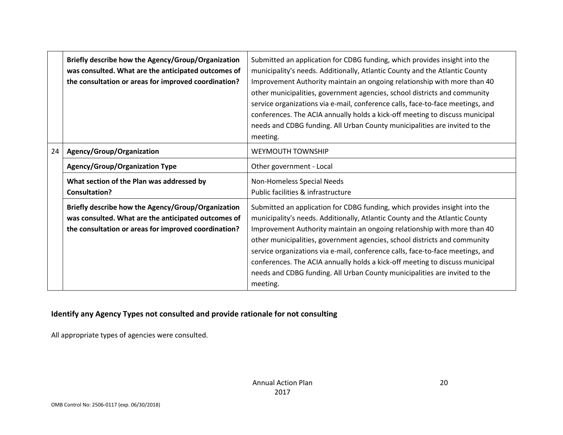|    | Briefly describe how the Agency/Group/Organization<br>was consulted. What are the anticipated outcomes of<br>the consultation or areas for improved coordination? | Submitted an application for CDBG funding, which provides insight into the<br>municipality's needs. Additionally, Atlantic County and the Atlantic County<br>Improvement Authority maintain an ongoing relationship with more than 40<br>other municipalities, government agencies, school districts and community<br>service organizations via e-mail, conference calls, face-to-face meetings, and<br>conferences. The ACIA annually holds a kick-off meeting to discuss municipal<br>needs and CDBG funding. All Urban County municipalities are invited to the<br>meeting. |
|----|-------------------------------------------------------------------------------------------------------------------------------------------------------------------|--------------------------------------------------------------------------------------------------------------------------------------------------------------------------------------------------------------------------------------------------------------------------------------------------------------------------------------------------------------------------------------------------------------------------------------------------------------------------------------------------------------------------------------------------------------------------------|
| 24 | Agency/Group/Organization                                                                                                                                         | <b>WEYMOUTH TOWNSHIP</b>                                                                                                                                                                                                                                                                                                                                                                                                                                                                                                                                                       |
|    | <b>Agency/Group/Organization Type</b>                                                                                                                             | Other government - Local                                                                                                                                                                                                                                                                                                                                                                                                                                                                                                                                                       |
|    | What section of the Plan was addressed by<br><b>Consultation?</b>                                                                                                 | Non-Homeless Special Needs<br>Public facilities & infrastructure                                                                                                                                                                                                                                                                                                                                                                                                                                                                                                               |
|    | Briefly describe how the Agency/Group/Organization<br>was consulted. What are the anticipated outcomes of<br>the consultation or areas for improved coordination? | Submitted an application for CDBG funding, which provides insight into the<br>municipality's needs. Additionally, Atlantic County and the Atlantic County<br>Improvement Authority maintain an ongoing relationship with more than 40<br>other municipalities, government agencies, school districts and community<br>service organizations via e-mail, conference calls, face-to-face meetings, and<br>conferences. The ACIA annually holds a kick-off meeting to discuss municipal<br>needs and CDBG funding. All Urban County municipalities are invited to the<br>meeting. |

#### **Identify any Agency Types not consulted and provide rationale for not consulting**

All appropriate types of agencies were consulted.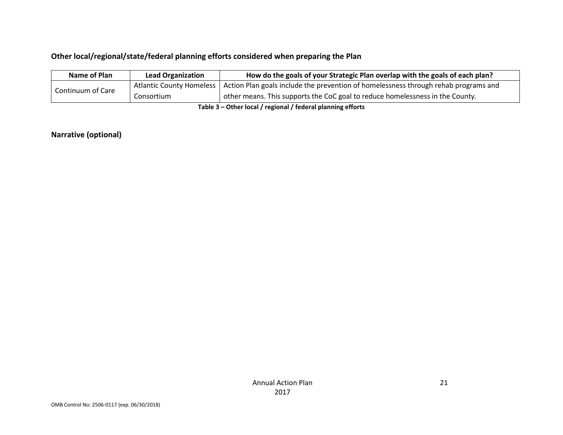#### **Other local/regional/state/federal planning efforts considered when preparing the Plan**

| Name of Plan      | <b>Lead Organization</b> | How do the goals of your Strategic Plan overlap with the goals of each plan?                                   |
|-------------------|--------------------------|----------------------------------------------------------------------------------------------------------------|
|                   |                          | Atlantic County Homeless   Action Plan goals include the prevention of homelessness through rehab programs and |
| Continuum of Care | Consortium               | other means. This supports the CoC goal to reduce homelessness in the County.                                  |
|                   |                          |                                                                                                                |

**Table 3 – Other local / regional / federal planning efforts**

#### **Narrative (optional)**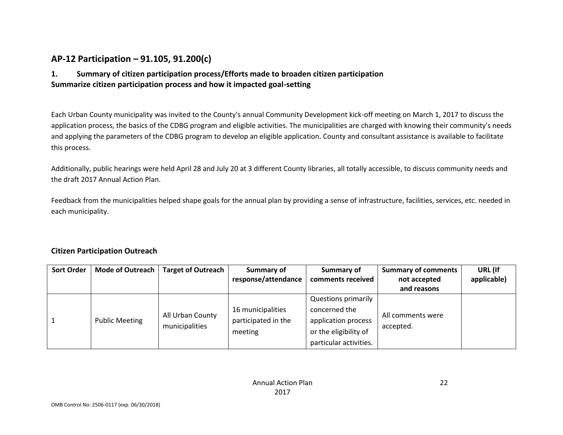### **AP-12 Participation – 91.105, 91.200(c)**

#### **1. Summary of citizen participation process/Efforts made to broaden citizen participation Summarize citizen participation process and how it impacted goal-setting**

Each Urban County municipality was invited to the County's annual Community Development kick-off meeting on March 1, 2017 to discuss the application process, the basics of the CDBG program and eligible activities. The municipalities are charged with knowing their community's needs and applying the parameters of the CDBG program to develop an eligible application. County and consultant assistance is available to facilitate this process.

Additionally, public hearings were held April 28 and July 20 at 3 different County libraries, all totally accessible, to discuss community needs and the draft 2017 Annual Action Plan.

Feedback from the municipalities helped shape goals for the annual plan by providing a sense of infrastructure, facilities, services, etc. needed in each municipality.

#### **Citizen Participation Outreach**

| <b>Sort Order</b> | Mode of Outreach<br><b>Target of Outreach</b> |                                    | Summary of          | Summary of                 | <b>Summary of comments</b> | URL (If     |
|-------------------|-----------------------------------------------|------------------------------------|---------------------|----------------------------|----------------------------|-------------|
|                   |                                               |                                    | response/attendance | comments received          | not accepted               | applicable) |
|                   |                                               |                                    |                     |                            | and reasons                |             |
|                   |                                               | All Urban County<br>municipalities |                     | <b>Questions primarily</b> |                            |             |
|                   | <b>Public Meeting</b>                         |                                    | 16 municipalities   | concerned the              |                            |             |
|                   |                                               |                                    | participated in the | application process        | All comments were          |             |
|                   |                                               |                                    | meeting             | or the eligibility of      | accepted.                  |             |
|                   |                                               |                                    |                     | particular activities.     |                            |             |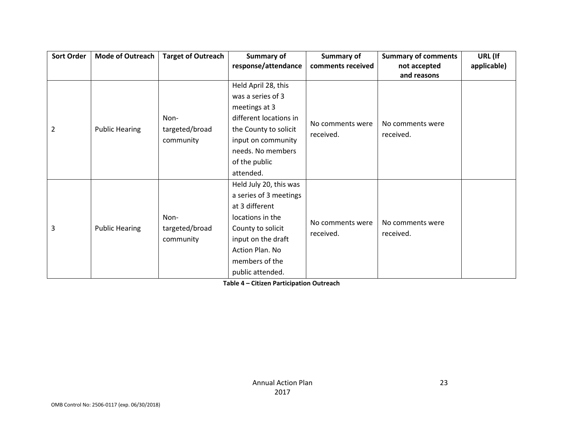| <b>Sort Order</b> | Mode of Outreach      | <b>Target of Outreach</b> | Summary of             | <b>Summary of</b> | <b>Summary of comments</b>    | URL (If     |
|-------------------|-----------------------|---------------------------|------------------------|-------------------|-------------------------------|-------------|
|                   |                       |                           | response/attendance    | comments received | not accepted                  | applicable) |
|                   |                       |                           |                        |                   | and reasons                   |             |
|                   |                       |                           | Held April 28, this    |                   |                               |             |
|                   |                       |                           | was a series of 3      |                   |                               |             |
|                   |                       |                           | meetings at 3          |                   |                               |             |
|                   |                       | Non-                      | different locations in | No comments were  |                               |             |
| $\overline{2}$    | <b>Public Hearing</b> | targeted/broad            | the County to solicit  | received.         | No comments were<br>received. |             |
|                   |                       | community                 | input on community     |                   |                               |             |
|                   |                       |                           | needs. No members      |                   |                               |             |
|                   |                       |                           | of the public          |                   |                               |             |
|                   |                       |                           | attended.              |                   |                               |             |
|                   |                       |                           | Held July 20, this was |                   |                               |             |
|                   |                       |                           | a series of 3 meetings |                   |                               |             |
|                   |                       |                           | at 3 different         |                   |                               |             |
|                   |                       | Non-                      | locations in the       | No comments were  | No comments were              |             |
| 3                 | <b>Public Hearing</b> | targeted/broad            | County to solicit      |                   |                               |             |
|                   |                       | community                 | input on the draft     | received.         | received.                     |             |
|                   |                       |                           | Action Plan. No        |                   |                               |             |
|                   |                       |                           | members of the         |                   |                               |             |
|                   |                       |                           | public attended.       |                   |                               |             |

**Table 4 – Citizen Participation Outreach**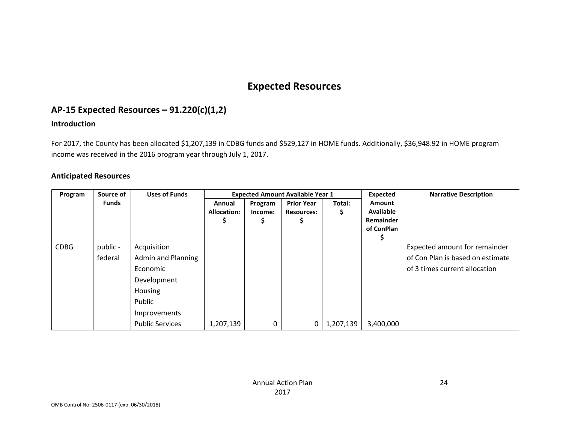# **Expected Resources**

### **AP-15 Expected Resources – 91.220(c)(1,2)**

#### **Introduction**

For 2017, the County has been allocated \$1,207,139 in CDBG funds and \$529,127 in HOME funds. Additionally, \$36,948.92 in HOME program income was received in the 2016 program year through July 1, 2017.

#### **Anticipated Resources**

| Program     | Source of    | <b>Uses of Funds</b>      |                    |         | <b>Expected Amount Available Year 1</b> |           | Expected         | <b>Narrative Description</b>     |
|-------------|--------------|---------------------------|--------------------|---------|-----------------------------------------|-----------|------------------|----------------------------------|
|             | <b>Funds</b> |                           | Annual             | Program | <b>Prior Year</b>                       | Total:    | <b>Amount</b>    |                                  |
|             |              |                           | <b>Allocation:</b> | Income: | <b>Resources:</b>                       | S         | <b>Available</b> |                                  |
|             |              |                           |                    |         |                                         |           | Remainder        |                                  |
|             |              |                           |                    |         |                                         |           | of ConPlan       |                                  |
|             |              |                           |                    |         |                                         |           |                  |                                  |
| <b>CDBG</b> | public -     | Acquisition               |                    |         |                                         |           |                  | Expected amount for remainder    |
|             | federal      | <b>Admin and Planning</b> |                    |         |                                         |           |                  | of Con Plan is based on estimate |
|             |              | Economic                  |                    |         |                                         |           |                  | of 3 times current allocation    |
|             |              | Development               |                    |         |                                         |           |                  |                                  |
|             |              | Housing                   |                    |         |                                         |           |                  |                                  |
|             |              | Public                    |                    |         |                                         |           |                  |                                  |
|             |              | Improvements              |                    |         |                                         |           |                  |                                  |
|             |              | <b>Public Services</b>    | 1,207,139          | 0       | 0                                       | 1,207,139 | 3,400,000        |                                  |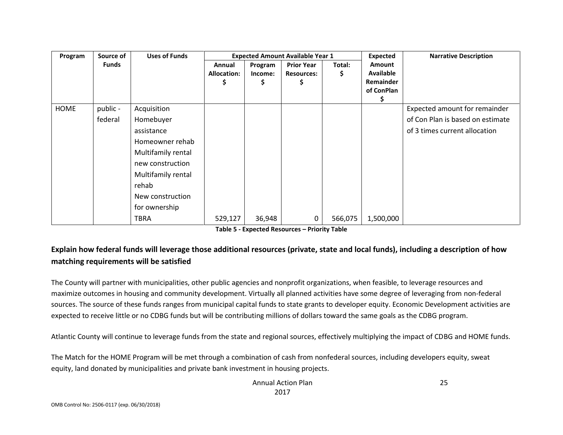| Program | Source of    | <b>Uses of Funds</b> |                    |         | <b>Expected Amount Available Year 1</b> |         | <b>Expected</b>  | <b>Narrative Description</b>     |
|---------|--------------|----------------------|--------------------|---------|-----------------------------------------|---------|------------------|----------------------------------|
|         | <b>Funds</b> |                      | Annual             | Program | <b>Prior Year</b>                       | Total:  | Amount           |                                  |
|         |              |                      | <b>Allocation:</b> | Income: | <b>Resources:</b>                       | Ş       | <b>Available</b> |                                  |
|         |              |                      | Ş                  | Ş       | Ş                                       |         | Remainder        |                                  |
|         |              |                      |                    |         |                                         |         | of ConPlan       |                                  |
|         |              |                      |                    |         |                                         |         |                  |                                  |
| HOME    | public -     | Acquisition          |                    |         |                                         |         |                  | Expected amount for remainder    |
|         | federal      | Homebuyer            |                    |         |                                         |         |                  | of Con Plan is based on estimate |
|         |              | assistance           |                    |         |                                         |         |                  | of 3 times current allocation    |
|         |              | Homeowner rehab      |                    |         |                                         |         |                  |                                  |
|         |              | Multifamily rental   |                    |         |                                         |         |                  |                                  |
|         |              | new construction     |                    |         |                                         |         |                  |                                  |
|         |              | Multifamily rental   |                    |         |                                         |         |                  |                                  |
|         |              | rehab                |                    |         |                                         |         |                  |                                  |
|         |              | New construction     |                    |         |                                         |         |                  |                                  |
|         |              | for ownership        |                    |         |                                         |         |                  |                                  |
|         |              | <b>TBRA</b>          | 529,127            | 36,948  | 0                                       | 566,075 | 1,500,000        |                                  |

### **Explain how federal funds will leverage those additional resources (private, state and local funds), including a description of how matching requirements will be satisfied**

The County will partner with municipalities, other public agencies and nonprofit organizations, when feasible, to leverage resources and maximize outcomes in housing and community development. Virtually all planned activities have some degree of leveraging from non-federal sources. The source of these funds ranges from municipal capital funds to state grants to developer equity. Economic Development activities are expected to receive little or no CDBG funds but will be contributing millions of dollars toward the same goals as the CDBG program.

Atlantic County will continue to leverage funds from the state and regional sources, effectively multiplying the impact of CDBG and HOME funds.

The Match for the HOME Program will be met through a combination of cash from nonfederal sources, including developers equity, sweat equity, land donated by municipalities and private bank investment in housing projects.

> Annual Action Plan 2017

25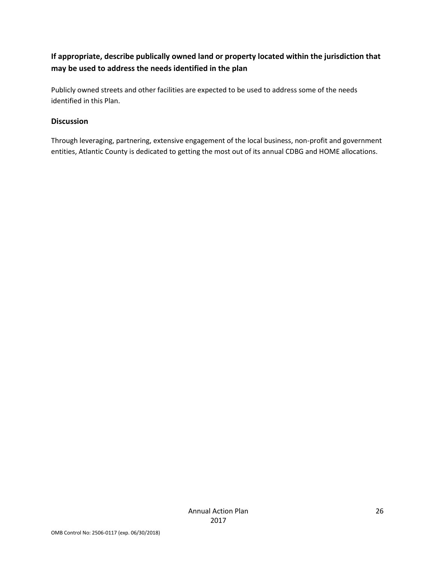### **If appropriate, describe publically owned land or property located within the jurisdiction that may be used to address the needs identified in the plan**

Publicly owned streets and other facilities are expected to be used to address some of the needs identified in this Plan.

#### **Discussion**

Through leveraging, partnering, extensive engagement of the local business, non-profit and government entities, Atlantic County is dedicated to getting the most out of its annual CDBG and HOME allocations.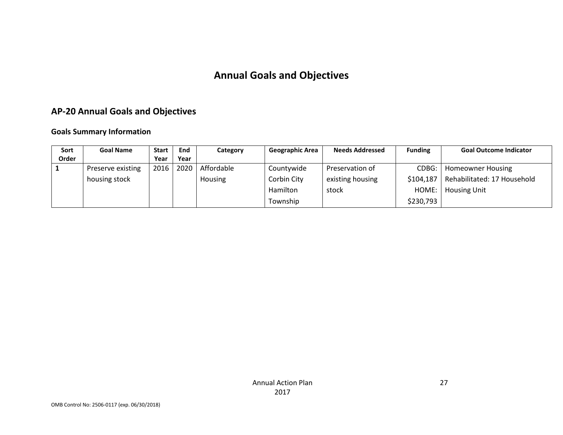# **Annual Goals and Objectives**

### **AP-20 Annual Goals and Objectives**

#### **Goals Summary Information**

| Sort  | <b>Goal Name</b>  | <b>Start</b> | End  | Category       | <b>Geographic Area</b> | <b>Needs Addressed</b> | <b>Funding</b> | <b>Goal Outcome Indicator</b> |
|-------|-------------------|--------------|------|----------------|------------------------|------------------------|----------------|-------------------------------|
| Order |                   | Year         | Year |                |                        |                        |                |                               |
|       | Preserve existing | 2016         | 2020 | Affordable     | Countywide             | Preservation of        | CDBG:          | <b>Homeowner Housing</b>      |
|       | housing stock     |              |      | <b>Housing</b> | Corbin City            | existing housing       | \$104,187      | Rehabilitated: 17 Household   |
|       |                   |              |      |                | Hamilton               | stock                  | HOME:          | <b>Housing Unit</b>           |
|       |                   |              |      |                | Township               |                        | \$230,793      |                               |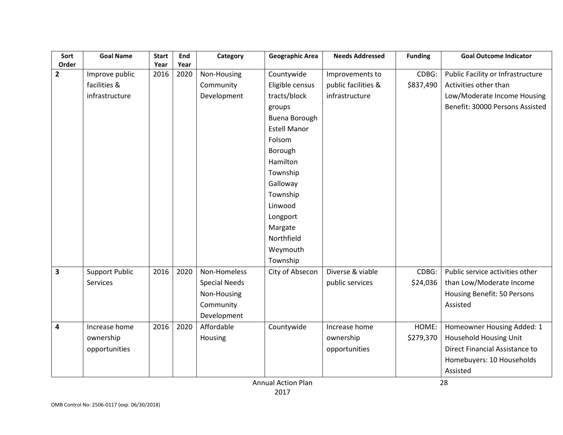| Sort<br>Order           | <b>Goal Name</b>      | <b>Start</b><br>Year | End<br>Year | Category             | <b>Geographic Area</b> | <b>Needs Addressed</b> | <b>Funding</b> | <b>Goal Outcome Indicator</b>     |
|-------------------------|-----------------------|----------------------|-------------|----------------------|------------------------|------------------------|----------------|-----------------------------------|
| $\overline{2}$          | Improve public        | 2016                 | 2020        | Non-Housing          | Countywide             | Improvements to        | CDBG:          | Public Facility or Infrastructure |
|                         | facilities &          |                      |             | Community            | Eligible census        | public facilities &    | \$837,490      | Activities other than             |
|                         | infrastructure        |                      |             | Development          | tracts/block           | infrastructure         |                | Low/Moderate Income Housing       |
|                         |                       |                      |             |                      | groups                 |                        |                | Benefit: 30000 Persons Assisted   |
|                         |                       |                      |             |                      | Buena Borough          |                        |                |                                   |
|                         |                       |                      |             |                      | <b>Estell Manor</b>    |                        |                |                                   |
|                         |                       |                      |             |                      | Folsom                 |                        |                |                                   |
|                         |                       |                      |             |                      | Borough                |                        |                |                                   |
|                         |                       |                      |             |                      | Hamilton               |                        |                |                                   |
|                         |                       |                      |             |                      | Township               |                        |                |                                   |
|                         |                       |                      |             |                      | Galloway               |                        |                |                                   |
|                         |                       |                      |             |                      | Township               |                        |                |                                   |
|                         |                       |                      |             |                      | Linwood                |                        |                |                                   |
|                         |                       |                      |             |                      | Longport               |                        |                |                                   |
|                         |                       |                      |             |                      | Margate                |                        |                |                                   |
|                         |                       |                      |             |                      | Northfield             |                        |                |                                   |
|                         |                       |                      |             |                      | Weymouth               |                        |                |                                   |
|                         |                       |                      |             |                      | Township               |                        |                |                                   |
| $\overline{\mathbf{3}}$ | <b>Support Public</b> | 2016                 | 2020        | Non-Homeless         | City of Absecon        | Diverse & viable       | CDBG:          | Public service activities other   |
|                         | Services              |                      |             | <b>Special Needs</b> |                        | public services        | \$24,036       | than Low/Moderate Income          |
|                         |                       |                      |             | Non-Housing          |                        |                        |                | Housing Benefit: 50 Persons       |
|                         |                       |                      |             | Community            |                        |                        |                | Assisted                          |
|                         |                       |                      |             | Development          |                        |                        |                |                                   |
| 4                       | Increase home         | 2016                 | 2020        | Affordable           | Countywide             | Increase home          | HOME:          | Homeowner Housing Added: 1        |
|                         | ownership             |                      |             | Housing              |                        | ownership              | \$279,370      | Household Housing Unit            |
|                         | opportunities         |                      |             |                      |                        | opportunities          |                | Direct Financial Assistance to    |
|                         |                       |                      |             |                      |                        |                        |                | Homebuyers: 10 Households         |
|                         |                       |                      |             |                      |                        |                        |                | Assisted                          |

Annual Action Plan 2017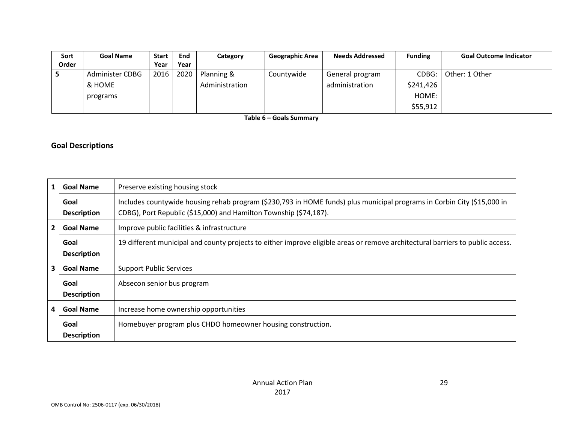| Sort  | <b>Goal Name</b>       | <b>Start</b> | End  | Category       | <b>Geographic Area</b> | <b>Needs Addressed</b> | <b>Funding</b> | <b>Goal Outcome Indicator</b> |
|-------|------------------------|--------------|------|----------------|------------------------|------------------------|----------------|-------------------------------|
| Order |                        | Year         | Year |                |                        |                        |                |                               |
|       | <b>Administer CDBG</b> | 2016         | 2020 | Planning &     | Countywide             | General program        | CDBG:          | Other: 1 Other                |
|       | & HOME                 |              |      | Administration |                        | administration         | \$241,426      |                               |
|       | programs               |              |      |                |                        |                        | HOME:          |                               |
|       |                        |              |      |                |                        |                        | \$55,912       |                               |

**Table 6 – Goals Summary**

### **Goal Descriptions**

| $\mathbf{1}$   | <b>Goal Name</b>                                               | Preserve existing housing stock                                                                                                                                                              |  |
|----------------|----------------------------------------------------------------|----------------------------------------------------------------------------------------------------------------------------------------------------------------------------------------------|--|
|                | Goal<br><b>Description</b>                                     | Includes countywide housing rehab program (\$230,793 in HOME funds) plus municipal programs in Corbin City (\$15,000 in<br>CDBG), Port Republic (\$15,000) and Hamilton Township (\$74,187). |  |
| $\overline{2}$ | <b>Goal Name</b><br>Improve public facilities & infrastructure |                                                                                                                                                                                              |  |
|                | Goal<br><b>Description</b>                                     | 19 different municipal and county projects to either improve eligible areas or remove architectural barriers to public access.                                                               |  |
| 3              | <b>Goal Name</b>                                               | <b>Support Public Services</b>                                                                                                                                                               |  |
|                | Goal<br><b>Description</b>                                     | Absecon senior bus program                                                                                                                                                                   |  |
| 4              | <b>Goal Name</b>                                               | Increase home ownership opportunities                                                                                                                                                        |  |
|                | Goal<br><b>Description</b>                                     | Homebuyer program plus CHDO homeowner housing construction.                                                                                                                                  |  |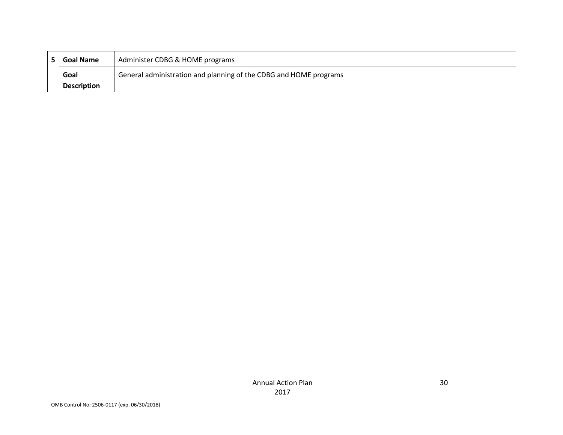| Administer CDBG & HOME programs<br><b>Goal Name</b> |                    |                                                                   |
|-----------------------------------------------------|--------------------|-------------------------------------------------------------------|
|                                                     | Goal               | General administration and planning of the CDBG and HOME programs |
|                                                     | <b>Description</b> |                                                                   |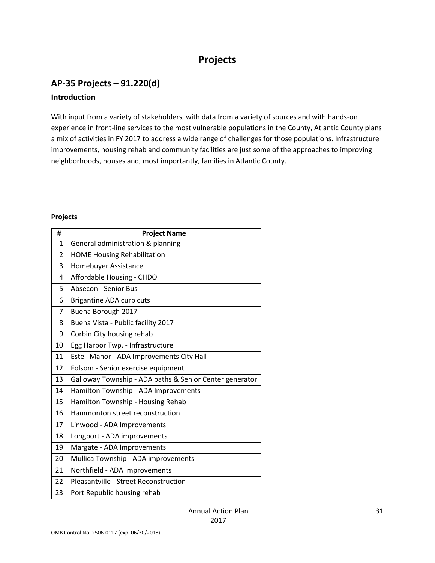## **Projects**

### **AP-35 Projects – 91.220(d)**

#### **Introduction**

With input from a variety of stakeholders, with data from a variety of sources and with hands-on experience in front-line services to the most vulnerable populations in the County, Atlantic County plans a mix of activities in FY 2017 to address a wide range of challenges for those populations. Infrastructure improvements, housing rehab and community facilities are just some of the approaches to improving neighborhoods, houses and, most importantly, families in Atlantic County.

#### **Projects**

| #              | <b>Project Name</b>                                     |  |
|----------------|---------------------------------------------------------|--|
| $\mathbf{1}$   | General administration & planning                       |  |
| $\overline{2}$ | <b>HOME Housing Rehabilitation</b>                      |  |
| 3              | Homebuyer Assistance                                    |  |
| 4              | Affordable Housing - CHDO                               |  |
| 5              | <b>Absecon - Senior Bus</b>                             |  |
| 6              | Brigantine ADA curb cuts                                |  |
| 7              | Buena Borough 2017                                      |  |
| 8              | Buena Vista - Public facility 2017                      |  |
| 9              | Corbin City housing rehab                               |  |
| 10             | Egg Harbor Twp. - Infrastructure                        |  |
| 11             | Estell Manor - ADA Improvements City Hall               |  |
| 12             | Folsom - Senior exercise equipment                      |  |
| 13             | Galloway Township - ADA paths & Senior Center generator |  |
| 14             | Hamilton Township - ADA Improvements                    |  |
| 15             | Hamilton Township - Housing Rehab                       |  |
| 16             | Hammonton street reconstruction                         |  |
| 17             | Linwood - ADA Improvements                              |  |
| 18             | Longport - ADA improvements                             |  |
| 19             | Margate - ADA Improvements                              |  |
| 20             | Mullica Township - ADA improvements                     |  |
| 21             | Northfield - ADA Improvements                           |  |
| 22             | Pleasantville - Street Reconstruction                   |  |
| 23             | Port Republic housing rehab                             |  |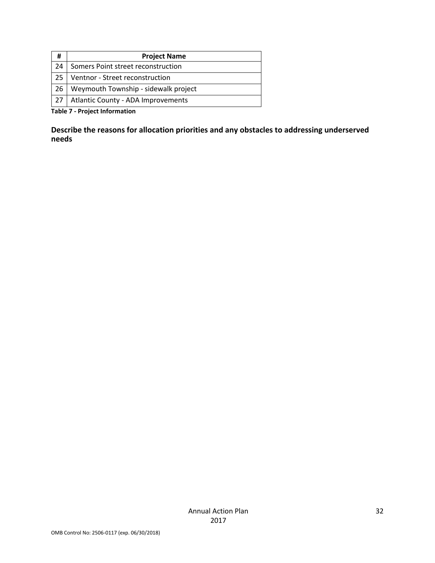| #                                                     | <b>Project Name</b>                  |  |
|-------------------------------------------------------|--------------------------------------|--|
| 24                                                    | Somers Point street reconstruction   |  |
| 25                                                    | Ventnor - Street reconstruction      |  |
| 26                                                    | Weymouth Township - sidewalk project |  |
| 27                                                    | Atlantic County - ADA Improvements   |  |
| the ball of the contract of the form and the contract |                                      |  |

**Table 7 - Project Information**

**Describe the reasons for allocation priorities and any obstacles to addressing underserved needs**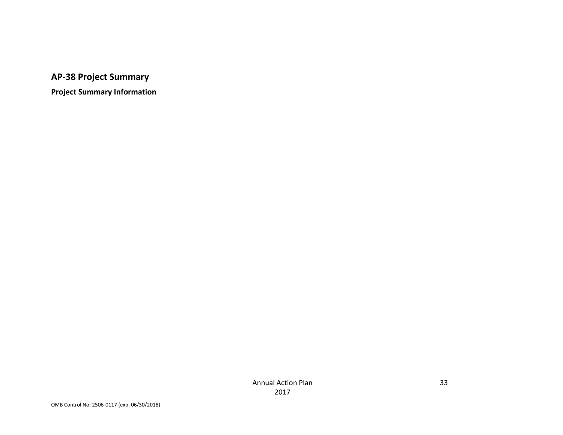# **AP-38 Project Summary**

**Project Summary Information**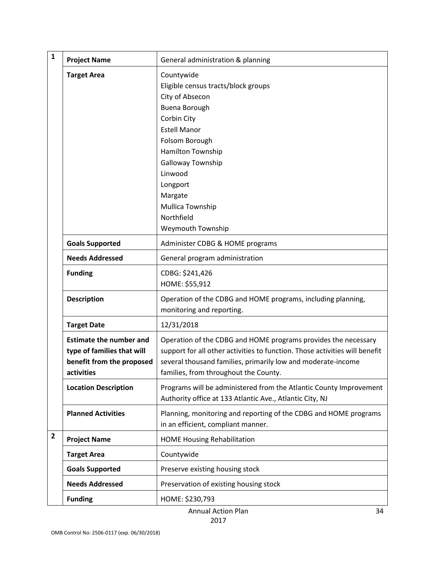| $\mathbf{1}$            | <b>Project Name</b>                                                                                     | General administration & planning                                                                                                                                                                                                                                                |
|-------------------------|---------------------------------------------------------------------------------------------------------|----------------------------------------------------------------------------------------------------------------------------------------------------------------------------------------------------------------------------------------------------------------------------------|
|                         | <b>Target Area</b>                                                                                      | Countywide<br>Eligible census tracts/block groups<br>City of Absecon<br>Buena Borough<br>Corbin City<br><b>Estell Manor</b><br>Folsom Borough<br>Hamilton Township<br>Galloway Township<br>Linwood<br>Longport<br>Margate<br>Mullica Township<br>Northfield<br>Weymouth Township |
|                         | <b>Goals Supported</b>                                                                                  | Administer CDBG & HOME programs                                                                                                                                                                                                                                                  |
|                         | <b>Needs Addressed</b>                                                                                  | General program administration                                                                                                                                                                                                                                                   |
|                         | <b>Funding</b>                                                                                          | CDBG: \$241,426<br>HOME: \$55,912                                                                                                                                                                                                                                                |
|                         | <b>Description</b>                                                                                      | Operation of the CDBG and HOME programs, including planning,<br>monitoring and reporting.                                                                                                                                                                                        |
|                         | <b>Target Date</b>                                                                                      | 12/31/2018                                                                                                                                                                                                                                                                       |
|                         | <b>Estimate the number and</b><br>type of families that will<br>benefit from the proposed<br>activities | Operation of the CDBG and HOME programs provides the necessary<br>support for all other activities to function. Those activities will benefit<br>several thousand families, primarily low and moderate-income<br>families, from throughout the County.                           |
|                         | <b>Location Description</b>                                                                             | Programs will be administered from the Atlantic County Improvement<br>Authority office at 133 Atlantic Ave., Atlantic City, NJ                                                                                                                                                   |
|                         | <b>Planned Activities</b>                                                                               | Planning, monitoring and reporting of the CDBG and HOME programs<br>in an efficient, compliant manner.                                                                                                                                                                           |
| $\overline{\mathbf{2}}$ | <b>Project Name</b>                                                                                     | <b>HOME Housing Rehabilitation</b>                                                                                                                                                                                                                                               |
|                         | <b>Target Area</b>                                                                                      | Countywide                                                                                                                                                                                                                                                                       |
|                         | <b>Goals Supported</b>                                                                                  | Preserve existing housing stock                                                                                                                                                                                                                                                  |
|                         | <b>Needs Addressed</b>                                                                                  | Preservation of existing housing stock                                                                                                                                                                                                                                           |
|                         | <b>Funding</b>                                                                                          | HOME: \$230,793                                                                                                                                                                                                                                                                  |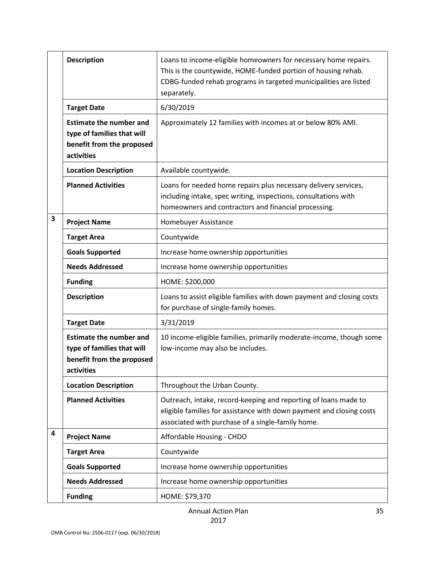|   | <b>Description</b>                                                                                      | Loans to income-eligible homeowners for necessary home repairs.<br>This is the countywide, HOME-funded portion of housing rehab.<br>CDBG-funded rehab programs in targeted municipalities are listed<br>separately. |
|---|---------------------------------------------------------------------------------------------------------|---------------------------------------------------------------------------------------------------------------------------------------------------------------------------------------------------------------------|
|   | <b>Target Date</b>                                                                                      | 6/30/2019                                                                                                                                                                                                           |
|   | <b>Estimate the number and</b><br>type of families that will<br>benefit from the proposed<br>activities | Approximately 12 families with incomes at or below 80% AMI.                                                                                                                                                         |
|   | <b>Location Description</b>                                                                             | Available countywide.                                                                                                                                                                                               |
|   | <b>Planned Activities</b>                                                                               | Loans for needed home repairs plus necessary delivery services,<br>including intake, spec writing, inspections, consultations with<br>homeowners and contractors and financial processing.                          |
| 3 | <b>Project Name</b>                                                                                     | Homebuyer Assistance                                                                                                                                                                                                |
|   | <b>Target Area</b>                                                                                      | Countywide                                                                                                                                                                                                          |
|   | <b>Goals Supported</b>                                                                                  | Increase home ownership opportunities                                                                                                                                                                               |
|   | <b>Needs Addressed</b>                                                                                  | Increase home ownership opportunities                                                                                                                                                                               |
|   | <b>Funding</b>                                                                                          | HOME: \$200,000                                                                                                                                                                                                     |
|   | <b>Description</b>                                                                                      | Loans to assist eligible families with down payment and closing costs<br>for purchase of single-family homes.                                                                                                       |
|   | <b>Target Date</b>                                                                                      | 3/31/2019                                                                                                                                                                                                           |
|   | <b>Estimate the number and</b><br>type of families that will<br>benefit from the proposed<br>activities | 10 income-eligible families, primarily moderate-income, though some<br>low-income may also be includes.                                                                                                             |
|   | <b>Location Description</b>                                                                             | Throughout the Urban County.                                                                                                                                                                                        |
|   | <b>Planned Activities</b>                                                                               | Outreach, intake, record-keeping and reporting of loans made to<br>eligible families for assistance with down payment and closing costs<br>associated with purchase of a single-family home.                        |
| 4 | <b>Project Name</b>                                                                                     | Affordable Housing - CHDO                                                                                                                                                                                           |
|   | <b>Target Area</b>                                                                                      | Countywide                                                                                                                                                                                                          |
|   | <b>Goals Supported</b>                                                                                  | Increase home ownership opportunities                                                                                                                                                                               |
|   | <b>Needs Addressed</b>                                                                                  | Increase home ownership opportunities                                                                                                                                                                               |
|   | <b>Funding</b>                                                                                          | HOME: \$79,370                                                                                                                                                                                                      |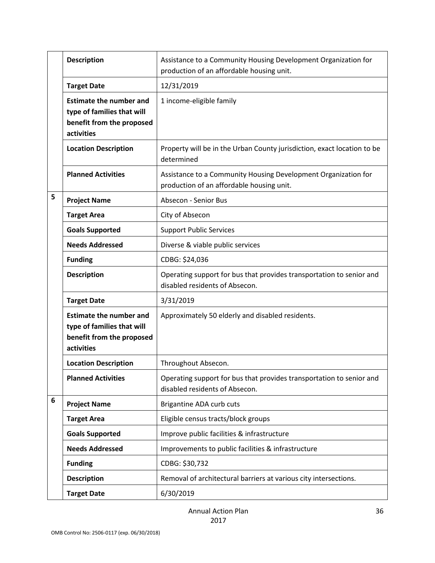|   | <b>Description</b>                                                                                      | Assistance to a Community Housing Development Organization for<br>production of an affordable housing unit. |
|---|---------------------------------------------------------------------------------------------------------|-------------------------------------------------------------------------------------------------------------|
|   | <b>Target Date</b>                                                                                      | 12/31/2019                                                                                                  |
|   | <b>Estimate the number and</b><br>type of families that will<br>benefit from the proposed<br>activities | 1 income-eligible family                                                                                    |
|   | <b>Location Description</b>                                                                             | Property will be in the Urban County jurisdiction, exact location to be<br>determined                       |
|   | <b>Planned Activities</b>                                                                               | Assistance to a Community Housing Development Organization for<br>production of an affordable housing unit. |
| 5 | <b>Project Name</b>                                                                                     | <b>Absecon - Senior Bus</b>                                                                                 |
|   | <b>Target Area</b>                                                                                      | City of Absecon                                                                                             |
|   | <b>Goals Supported</b>                                                                                  | <b>Support Public Services</b>                                                                              |
|   | <b>Needs Addressed</b>                                                                                  | Diverse & viable public services                                                                            |
|   | <b>Funding</b>                                                                                          | CDBG: \$24,036                                                                                              |
|   | <b>Description</b>                                                                                      | Operating support for bus that provides transportation to senior and<br>disabled residents of Absecon.      |
|   | <b>Target Date</b>                                                                                      | 3/31/2019                                                                                                   |
|   | <b>Estimate the number and</b><br>type of families that will<br>benefit from the proposed<br>activities | Approximately 50 elderly and disabled residents.                                                            |
|   | <b>Location Description</b>                                                                             | Throughout Absecon.                                                                                         |
|   | <b>Planned Activities</b>                                                                               | Operating support for bus that provides transportation to senior and<br>disabled residents of Absecon.      |
| 6 | <b>Project Name</b>                                                                                     | Brigantine ADA curb cuts                                                                                    |
|   | <b>Target Area</b>                                                                                      | Eligible census tracts/block groups                                                                         |
|   | <b>Goals Supported</b>                                                                                  | Improve public facilities & infrastructure                                                                  |
|   | <b>Needs Addressed</b>                                                                                  | Improvements to public facilities & infrastructure                                                          |
|   | <b>Funding</b>                                                                                          | CDBG: \$30,732                                                                                              |
|   | <b>Description</b>                                                                                      | Removal of architectural barriers at various city intersections.                                            |
|   | <b>Target Date</b>                                                                                      | 6/30/2019                                                                                                   |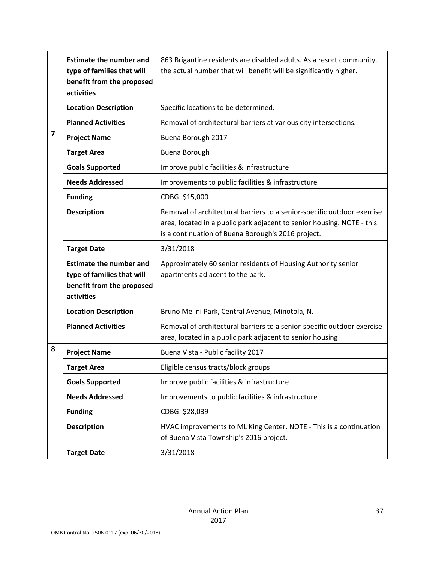|                         | <b>Estimate the number and</b><br>type of families that will<br>benefit from the proposed<br>activities | 863 Brigantine residents are disabled adults. As a resort community,<br>the actual number that will benefit will be significantly higher.                                                               |
|-------------------------|---------------------------------------------------------------------------------------------------------|---------------------------------------------------------------------------------------------------------------------------------------------------------------------------------------------------------|
|                         | <b>Location Description</b>                                                                             | Specific locations to be determined.                                                                                                                                                                    |
|                         | <b>Planned Activities</b>                                                                               | Removal of architectural barriers at various city intersections.                                                                                                                                        |
| $\overline{\mathbf{z}}$ | <b>Project Name</b>                                                                                     | Buena Borough 2017                                                                                                                                                                                      |
|                         | <b>Target Area</b>                                                                                      | Buena Borough                                                                                                                                                                                           |
|                         | <b>Goals Supported</b>                                                                                  | Improve public facilities & infrastructure                                                                                                                                                              |
|                         | <b>Needs Addressed</b>                                                                                  | Improvements to public facilities & infrastructure                                                                                                                                                      |
|                         | <b>Funding</b>                                                                                          | CDBG: \$15,000                                                                                                                                                                                          |
|                         | <b>Description</b>                                                                                      | Removal of architectural barriers to a senior-specific outdoor exercise<br>area, located in a public park adjacent to senior housing. NOTE - this<br>is a continuation of Buena Borough's 2016 project. |
|                         | <b>Target Date</b>                                                                                      | 3/31/2018                                                                                                                                                                                               |
|                         | <b>Estimate the number and</b><br>type of families that will<br>benefit from the proposed<br>activities | Approximately 60 senior residents of Housing Authority senior<br>apartments adjacent to the park.                                                                                                       |
|                         | <b>Location Description</b>                                                                             | Bruno Melini Park, Central Avenue, Minotola, NJ                                                                                                                                                         |
|                         | <b>Planned Activities</b>                                                                               | Removal of architectural barriers to a senior-specific outdoor exercise<br>area, located in a public park adjacent to senior housing                                                                    |
| 8                       | <b>Project Name</b>                                                                                     | Buena Vista - Public facility 2017                                                                                                                                                                      |
|                         | <b>Target Area</b>                                                                                      | Eligible census tracts/block groups                                                                                                                                                                     |
|                         | <b>Goals Supported</b>                                                                                  | Improve public facilities & infrastructure                                                                                                                                                              |
|                         | <b>Needs Addressed</b>                                                                                  | Improvements to public facilities & infrastructure                                                                                                                                                      |
|                         | <b>Funding</b>                                                                                          | CDBG: \$28,039                                                                                                                                                                                          |
|                         | <b>Description</b>                                                                                      | HVAC improvements to ML King Center. NOTE - This is a continuation<br>of Buena Vista Township's 2016 project.                                                                                           |
|                         | <b>Target Date</b>                                                                                      | 3/31/2018                                                                                                                                                                                               |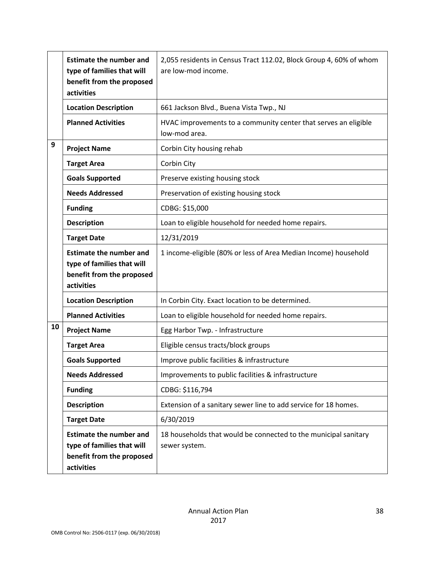|    | <b>Estimate the number and</b><br>type of families that will<br>benefit from the proposed<br>activities | 2,055 residents in Census Tract 112.02, Block Group 4, 60% of whom<br>are low-mod income. |
|----|---------------------------------------------------------------------------------------------------------|-------------------------------------------------------------------------------------------|
|    | <b>Location Description</b>                                                                             | 661 Jackson Blvd., Buena Vista Twp., NJ                                                   |
|    | <b>Planned Activities</b>                                                                               | HVAC improvements to a community center that serves an eligible<br>low-mod area.          |
| 9  | <b>Project Name</b>                                                                                     | Corbin City housing rehab                                                                 |
|    | <b>Target Area</b>                                                                                      | Corbin City                                                                               |
|    | <b>Goals Supported</b>                                                                                  | Preserve existing housing stock                                                           |
|    | <b>Needs Addressed</b>                                                                                  | Preservation of existing housing stock                                                    |
|    | <b>Funding</b>                                                                                          | CDBG: \$15,000                                                                            |
|    | <b>Description</b>                                                                                      | Loan to eligible household for needed home repairs.                                       |
|    | <b>Target Date</b>                                                                                      | 12/31/2019                                                                                |
|    | <b>Estimate the number and</b><br>type of families that will<br>benefit from the proposed<br>activities | 1 income-eligible (80% or less of Area Median Income) household                           |
|    | <b>Location Description</b>                                                                             | In Corbin City. Exact location to be determined.                                          |
|    | <b>Planned Activities</b>                                                                               | Loan to eligible household for needed home repairs.                                       |
| 10 | <b>Project Name</b>                                                                                     | Egg Harbor Twp. - Infrastructure                                                          |
|    | <b>Target Area</b>                                                                                      | Eligible census tracts/block groups                                                       |
|    | <b>Goals Supported</b>                                                                                  | Improve public facilities & infrastructure                                                |
|    | <b>Needs Addressed</b>                                                                                  | Improvements to public facilities & infrastructure                                        |
|    | <b>Funding</b>                                                                                          | CDBG: \$116,794                                                                           |
|    | <b>Description</b>                                                                                      | Extension of a sanitary sewer line to add service for 18 homes.                           |
|    | <b>Target Date</b>                                                                                      | 6/30/2019                                                                                 |
|    | <b>Estimate the number and</b><br>type of families that will<br>benefit from the proposed<br>activities | 18 households that would be connected to the municipal sanitary<br>sewer system.          |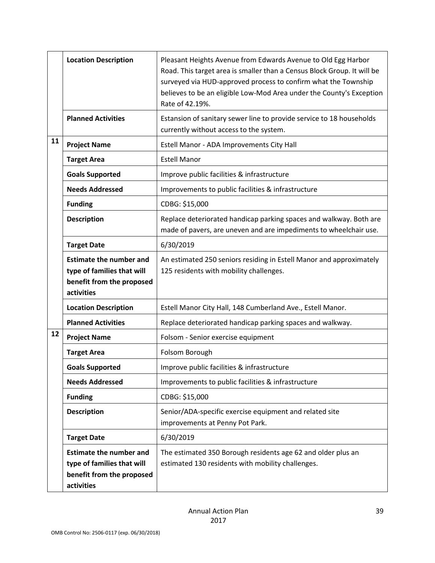|    | <b>Location Description</b>                                                                             | Pleasant Heights Avenue from Edwards Avenue to Old Egg Harbor<br>Road. This target area is smaller than a Census Block Group. It will be<br>surveyed via HUD-approved process to confirm what the Township<br>believes to be an eligible Low-Mod Area under the County's Exception<br>Rate of 42.19%. |
|----|---------------------------------------------------------------------------------------------------------|-------------------------------------------------------------------------------------------------------------------------------------------------------------------------------------------------------------------------------------------------------------------------------------------------------|
|    | <b>Planned Activities</b>                                                                               | Estansion of sanitary sewer line to provide service to 18 households<br>currently without access to the system.                                                                                                                                                                                       |
| 11 | <b>Project Name</b>                                                                                     | Estell Manor - ADA Improvements City Hall                                                                                                                                                                                                                                                             |
|    | <b>Target Area</b>                                                                                      | <b>Estell Manor</b>                                                                                                                                                                                                                                                                                   |
|    | <b>Goals Supported</b>                                                                                  | Improve public facilities & infrastructure                                                                                                                                                                                                                                                            |
|    | <b>Needs Addressed</b>                                                                                  | Improvements to public facilities & infrastructure                                                                                                                                                                                                                                                    |
|    | <b>Funding</b>                                                                                          | CDBG: \$15,000                                                                                                                                                                                                                                                                                        |
|    | <b>Description</b>                                                                                      | Replace deteriorated handicap parking spaces and walkway. Both are<br>made of pavers, are uneven and are impediments to wheelchair use.                                                                                                                                                               |
|    | <b>Target Date</b>                                                                                      | 6/30/2019                                                                                                                                                                                                                                                                                             |
|    | <b>Estimate the number and</b><br>type of families that will<br>benefit from the proposed<br>activities | An estimated 250 seniors residing in Estell Manor and approximately<br>125 residents with mobility challenges.                                                                                                                                                                                        |
|    | <b>Location Description</b>                                                                             | Estell Manor City Hall, 148 Cumberland Ave., Estell Manor.                                                                                                                                                                                                                                            |
|    | <b>Planned Activities</b>                                                                               | Replace deteriorated handicap parking spaces and walkway.                                                                                                                                                                                                                                             |
| 12 | <b>Project Name</b>                                                                                     | Folsom - Senior exercise equipment                                                                                                                                                                                                                                                                    |
|    | <b>Target Area</b>                                                                                      | Folsom Borough                                                                                                                                                                                                                                                                                        |
|    | <b>Goals Supported</b>                                                                                  | Improve public facilities & infrastructure                                                                                                                                                                                                                                                            |
|    | <b>Needs Addressed</b>                                                                                  | Improvements to public facilities & infrastructure                                                                                                                                                                                                                                                    |
|    | <b>Funding</b>                                                                                          | CDBG: \$15,000                                                                                                                                                                                                                                                                                        |
|    | <b>Description</b>                                                                                      | Senior/ADA-specific exercise equipment and related site<br>improvements at Penny Pot Park.                                                                                                                                                                                                            |
|    | <b>Target Date</b>                                                                                      | 6/30/2019                                                                                                                                                                                                                                                                                             |
|    | <b>Estimate the number and</b><br>type of families that will<br>benefit from the proposed<br>activities | The estimated 350 Borough residents age 62 and older plus an<br>estimated 130 residents with mobility challenges.                                                                                                                                                                                     |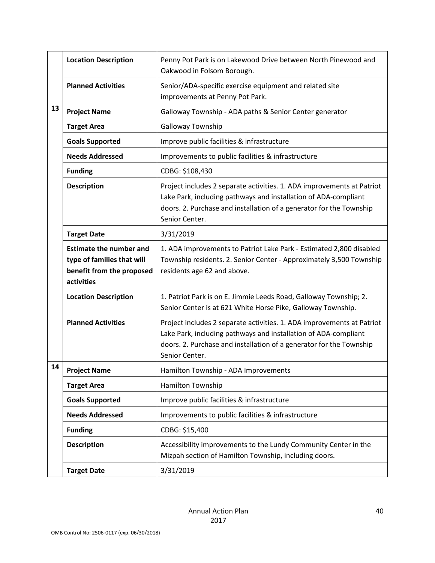|    | <b>Location Description</b>                                                                             | Penny Pot Park is on Lakewood Drive between North Pinewood and<br>Oakwood in Folsom Borough.                                                                                                                                       |
|----|---------------------------------------------------------------------------------------------------------|------------------------------------------------------------------------------------------------------------------------------------------------------------------------------------------------------------------------------------|
|    | <b>Planned Activities</b>                                                                               | Senior/ADA-specific exercise equipment and related site<br>improvements at Penny Pot Park.                                                                                                                                         |
| 13 | <b>Project Name</b>                                                                                     | Galloway Township - ADA paths & Senior Center generator                                                                                                                                                                            |
|    | <b>Target Area</b>                                                                                      | Galloway Township                                                                                                                                                                                                                  |
|    | <b>Goals Supported</b>                                                                                  | Improve public facilities & infrastructure                                                                                                                                                                                         |
|    | <b>Needs Addressed</b>                                                                                  | Improvements to public facilities & infrastructure                                                                                                                                                                                 |
|    | <b>Funding</b>                                                                                          | CDBG: \$108,430                                                                                                                                                                                                                    |
|    | <b>Description</b>                                                                                      | Project includes 2 separate activities. 1. ADA improvements at Patriot<br>Lake Park, including pathways and installation of ADA-compliant<br>doors. 2. Purchase and installation of a generator for the Township<br>Senior Center. |
|    | <b>Target Date</b>                                                                                      | 3/31/2019                                                                                                                                                                                                                          |
|    | <b>Estimate the number and</b><br>type of families that will<br>benefit from the proposed<br>activities | 1. ADA improvements to Patriot Lake Park - Estimated 2,800 disabled<br>Township residents. 2. Senior Center - Approximately 3,500 Township<br>residents age 62 and above.                                                          |
|    | <b>Location Description</b>                                                                             | 1. Patriot Park is on E. Jimmie Leeds Road, Galloway Township; 2.<br>Senior Center is at 621 White Horse Pike, Galloway Township.                                                                                                  |
|    | <b>Planned Activities</b>                                                                               | Project includes 2 separate activities. 1. ADA improvements at Patriot<br>Lake Park, including pathways and installation of ADA-compliant<br>doors. 2. Purchase and installation of a generator for the Township<br>Senior Center. |
| 14 | <b>Project Name</b>                                                                                     | Hamilton Township - ADA Improvements                                                                                                                                                                                               |
|    | <b>Target Area</b>                                                                                      | Hamilton Township                                                                                                                                                                                                                  |
|    | <b>Goals Supported</b>                                                                                  | Improve public facilities & infrastructure                                                                                                                                                                                         |
|    | <b>Needs Addressed</b>                                                                                  | Improvements to public facilities & infrastructure                                                                                                                                                                                 |
|    | <b>Funding</b>                                                                                          | CDBG: \$15,400                                                                                                                                                                                                                     |
|    | <b>Description</b>                                                                                      | Accessibility improvements to the Lundy Community Center in the<br>Mizpah section of Hamilton Township, including doors.                                                                                                           |
|    | <b>Target Date</b>                                                                                      | 3/31/2019                                                                                                                                                                                                                          |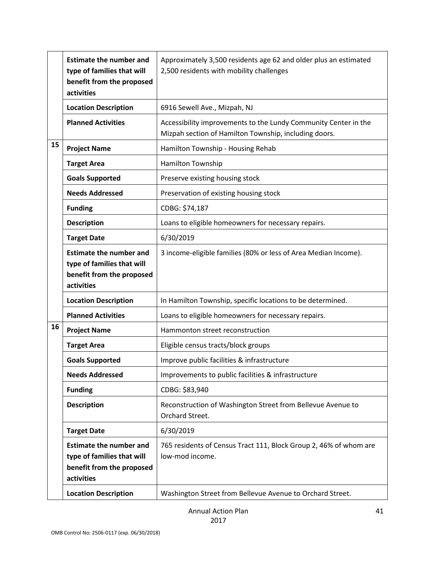|    | <b>Estimate the number and</b><br>type of families that will<br>benefit from the proposed<br>activities | Approximately 3,500 residents age 62 and older plus an estimated<br>2,500 residents with mobility challenges             |
|----|---------------------------------------------------------------------------------------------------------|--------------------------------------------------------------------------------------------------------------------------|
|    | <b>Location Description</b>                                                                             | 6916 Sewell Ave., Mizpah, NJ                                                                                             |
|    | <b>Planned Activities</b>                                                                               | Accessibility improvements to the Lundy Community Center in the<br>Mizpah section of Hamilton Township, including doors. |
| 15 | <b>Project Name</b>                                                                                     | Hamilton Township - Housing Rehab                                                                                        |
|    | <b>Target Area</b>                                                                                      | Hamilton Township                                                                                                        |
|    | <b>Goals Supported</b>                                                                                  | Preserve existing housing stock                                                                                          |
|    | <b>Needs Addressed</b>                                                                                  | Preservation of existing housing stock                                                                                   |
|    | <b>Funding</b>                                                                                          | CDBG: \$74,187                                                                                                           |
|    | <b>Description</b>                                                                                      | Loans to eligible homeowners for necessary repairs.                                                                      |
|    | <b>Target Date</b>                                                                                      | 6/30/2019                                                                                                                |
|    | <b>Estimate the number and</b><br>type of families that will<br>benefit from the proposed<br>activities | 3 income-eligible families (80% or less of Area Median Income).                                                          |
|    | <b>Location Description</b>                                                                             | In Hamilton Township, specific locations to be determined.                                                               |
|    | <b>Planned Activities</b>                                                                               | Loans to eligible homeowners for necessary repairs.                                                                      |
| 16 | <b>Project Name</b>                                                                                     | Hammonton street reconstruction                                                                                          |
|    | <b>Target Area</b>                                                                                      | Eligible census tracts/block groups                                                                                      |
|    | <b>Goals Supported</b>                                                                                  | Improve public facilities & infrastructure                                                                               |
|    | <b>Needs Addressed</b>                                                                                  | Improvements to public facilities & infrastructure                                                                       |
|    | <b>Funding</b>                                                                                          | CDBG: \$83,940                                                                                                           |
|    | <b>Description</b>                                                                                      | Reconstruction of Washington Street from Bellevue Avenue to<br>Orchard Street.                                           |
|    | <b>Target Date</b>                                                                                      | 6/30/2019                                                                                                                |
|    | <b>Estimate the number and</b><br>type of families that will<br>benefit from the proposed<br>activities | 765 residents of Census Tract 111, Block Group 2, 46% of whom are<br>low-mod income.                                     |
|    | <b>Location Description</b>                                                                             | Washington Street from Bellevue Avenue to Orchard Street.                                                                |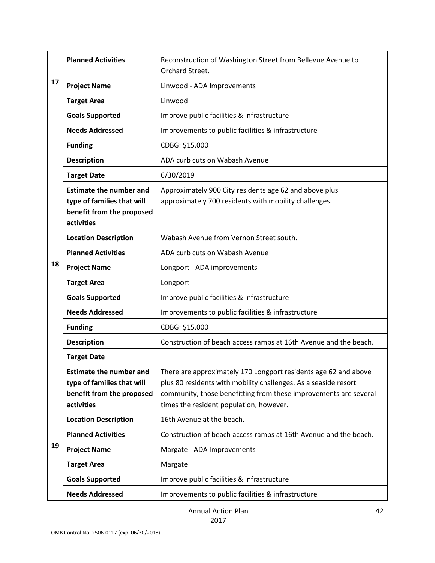|    | <b>Planned Activities</b>                                                                               | Reconstruction of Washington Street from Bellevue Avenue to<br>Orchard Street.                                                                                                                                                                    |
|----|---------------------------------------------------------------------------------------------------------|---------------------------------------------------------------------------------------------------------------------------------------------------------------------------------------------------------------------------------------------------|
| 17 | <b>Project Name</b>                                                                                     | Linwood - ADA Improvements                                                                                                                                                                                                                        |
|    | <b>Target Area</b>                                                                                      | Linwood                                                                                                                                                                                                                                           |
|    | <b>Goals Supported</b>                                                                                  | Improve public facilities & infrastructure                                                                                                                                                                                                        |
|    | <b>Needs Addressed</b>                                                                                  | Improvements to public facilities & infrastructure                                                                                                                                                                                                |
|    | <b>Funding</b>                                                                                          | CDBG: \$15,000                                                                                                                                                                                                                                    |
|    | <b>Description</b>                                                                                      | ADA curb cuts on Wabash Avenue                                                                                                                                                                                                                    |
|    | <b>Target Date</b>                                                                                      | 6/30/2019                                                                                                                                                                                                                                         |
|    | <b>Estimate the number and</b><br>type of families that will<br>benefit from the proposed<br>activities | Approximately 900 City residents age 62 and above plus<br>approximately 700 residents with mobility challenges.                                                                                                                                   |
|    | <b>Location Description</b>                                                                             | Wabash Avenue from Vernon Street south.                                                                                                                                                                                                           |
|    | <b>Planned Activities</b>                                                                               | ADA curb cuts on Wabash Avenue                                                                                                                                                                                                                    |
| 18 | <b>Project Name</b>                                                                                     | Longport - ADA improvements                                                                                                                                                                                                                       |
|    | <b>Target Area</b>                                                                                      | Longport                                                                                                                                                                                                                                          |
|    | <b>Goals Supported</b>                                                                                  | Improve public facilities & infrastructure                                                                                                                                                                                                        |
|    | <b>Needs Addressed</b>                                                                                  | Improvements to public facilities & infrastructure                                                                                                                                                                                                |
|    | <b>Funding</b>                                                                                          | CDBG: \$15,000                                                                                                                                                                                                                                    |
|    | <b>Description</b>                                                                                      | Construction of beach access ramps at 16th Avenue and the beach.                                                                                                                                                                                  |
|    | <b>Target Date</b>                                                                                      |                                                                                                                                                                                                                                                   |
|    | <b>Estimate the number and</b><br>type of families that will<br>benefit from the proposed<br>activities | There are approximately 170 Longport residents age 62 and above<br>plus 80 residents with mobility challenges. As a seaside resort<br>community, those benefitting from these improvements are several<br>times the resident population, however. |
|    | <b>Location Description</b>                                                                             | 16th Avenue at the beach.                                                                                                                                                                                                                         |
|    | <b>Planned Activities</b>                                                                               | Construction of beach access ramps at 16th Avenue and the beach.                                                                                                                                                                                  |
| 19 | <b>Project Name</b>                                                                                     | Margate - ADA Improvements                                                                                                                                                                                                                        |
|    | <b>Target Area</b>                                                                                      | Margate                                                                                                                                                                                                                                           |
|    | <b>Goals Supported</b>                                                                                  | Improve public facilities & infrastructure                                                                                                                                                                                                        |
|    | <b>Needs Addressed</b>                                                                                  | Improvements to public facilities & infrastructure                                                                                                                                                                                                |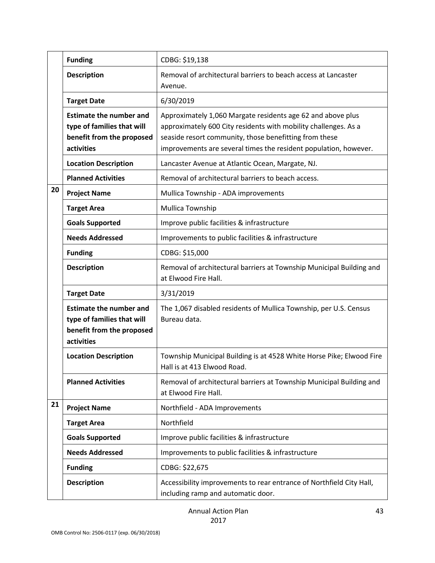|    | <b>Funding</b>                                                                                          | CDBG: \$19,138                                                                                                                                                                                                                                               |
|----|---------------------------------------------------------------------------------------------------------|--------------------------------------------------------------------------------------------------------------------------------------------------------------------------------------------------------------------------------------------------------------|
|    | <b>Description</b>                                                                                      | Removal of architectural barriers to beach access at Lancaster<br>Avenue.                                                                                                                                                                                    |
|    | <b>Target Date</b>                                                                                      | 6/30/2019                                                                                                                                                                                                                                                    |
|    | <b>Estimate the number and</b><br>type of families that will<br>benefit from the proposed<br>activities | Approximately 1,060 Margate residents age 62 and above plus<br>approximately 600 City residents with mobility challenges. As a<br>seaside resort community, those benefitting from these<br>improvements are several times the resident population, however. |
|    | <b>Location Description</b>                                                                             | Lancaster Avenue at Atlantic Ocean, Margate, NJ.                                                                                                                                                                                                             |
|    | <b>Planned Activities</b>                                                                               | Removal of architectural barriers to beach access.                                                                                                                                                                                                           |
| 20 | <b>Project Name</b>                                                                                     | Mullica Township - ADA improvements                                                                                                                                                                                                                          |
|    | <b>Target Area</b>                                                                                      | Mullica Township                                                                                                                                                                                                                                             |
|    | <b>Goals Supported</b>                                                                                  | Improve public facilities & infrastructure                                                                                                                                                                                                                   |
|    | <b>Needs Addressed</b>                                                                                  | Improvements to public facilities & infrastructure                                                                                                                                                                                                           |
|    | <b>Funding</b>                                                                                          | CDBG: \$15,000                                                                                                                                                                                                                                               |
|    | <b>Description</b>                                                                                      | Removal of architectural barriers at Township Municipal Building and<br>at Elwood Fire Hall.                                                                                                                                                                 |
|    | <b>Target Date</b>                                                                                      | 3/31/2019                                                                                                                                                                                                                                                    |
|    | <b>Estimate the number and</b><br>type of families that will<br>benefit from the proposed<br>activities | The 1,067 disabled residents of Mullica Township, per U.S. Census<br>Bureau data.                                                                                                                                                                            |
|    | <b>Location Description</b>                                                                             | Township Municipal Building is at 4528 White Horse Pike; Elwood Fire<br>Hall is at 413 Elwood Road.                                                                                                                                                          |
|    | <b>Planned Activities</b>                                                                               | Removal of architectural barriers at Township Municipal Building and<br>at Elwood Fire Hall.                                                                                                                                                                 |
| 21 | <b>Project Name</b>                                                                                     | Northfield - ADA Improvements                                                                                                                                                                                                                                |
|    | <b>Target Area</b>                                                                                      | Northfield                                                                                                                                                                                                                                                   |
|    | <b>Goals Supported</b>                                                                                  | Improve public facilities & infrastructure                                                                                                                                                                                                                   |
|    | <b>Needs Addressed</b>                                                                                  | Improvements to public facilities & infrastructure                                                                                                                                                                                                           |
|    | <b>Funding</b>                                                                                          | CDBG: \$22,675                                                                                                                                                                                                                                               |
|    | <b>Description</b>                                                                                      | Accessibility improvements to rear entrance of Northfield City Hall,<br>including ramp and automatic door.                                                                                                                                                   |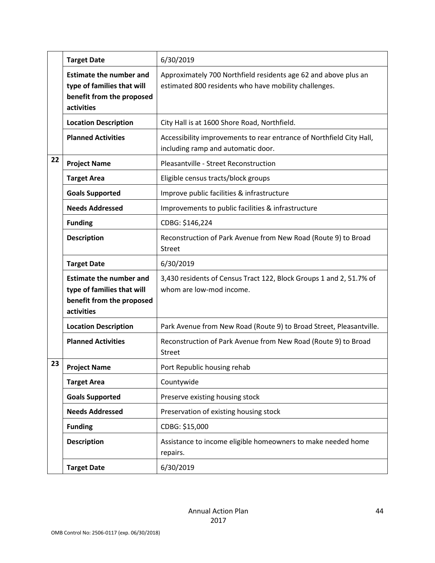|    | <b>Target Date</b>                                                                                      | 6/30/2019                                                                                                                |
|----|---------------------------------------------------------------------------------------------------------|--------------------------------------------------------------------------------------------------------------------------|
|    | <b>Estimate the number and</b><br>type of families that will<br>benefit from the proposed<br>activities | Approximately 700 Northfield residents age 62 and above plus an<br>estimated 800 residents who have mobility challenges. |
|    | <b>Location Description</b>                                                                             | City Hall is at 1600 Shore Road, Northfield.                                                                             |
|    | <b>Planned Activities</b>                                                                               | Accessibility improvements to rear entrance of Northfield City Hall,<br>including ramp and automatic door.               |
| 22 | <b>Project Name</b>                                                                                     | Pleasantville - Street Reconstruction                                                                                    |
|    | <b>Target Area</b>                                                                                      | Eligible census tracts/block groups                                                                                      |
|    | <b>Goals Supported</b>                                                                                  | Improve public facilities & infrastructure                                                                               |
|    | <b>Needs Addressed</b>                                                                                  | Improvements to public facilities & infrastructure                                                                       |
|    | <b>Funding</b>                                                                                          | CDBG: \$146,224                                                                                                          |
|    | <b>Description</b>                                                                                      | Reconstruction of Park Avenue from New Road (Route 9) to Broad<br><b>Street</b>                                          |
|    | <b>Target Date</b>                                                                                      | 6/30/2019                                                                                                                |
|    | <b>Estimate the number and</b><br>type of families that will<br>benefit from the proposed<br>activities | 3,430 residents of Census Tract 122, Block Groups 1 and 2, 51.7% of<br>whom are low-mod income.                          |
|    | <b>Location Description</b>                                                                             | Park Avenue from New Road (Route 9) to Broad Street, Pleasantville.                                                      |
|    | <b>Planned Activities</b>                                                                               | Reconstruction of Park Avenue from New Road (Route 9) to Broad<br><b>Street</b>                                          |
| 23 | <b>Project Name</b>                                                                                     | Port Republic housing rehab                                                                                              |
|    | <b>Target Area</b>                                                                                      | Countywide                                                                                                               |
|    | <b>Goals Supported</b>                                                                                  | Preserve existing housing stock                                                                                          |
|    | <b>Needs Addressed</b>                                                                                  | Preservation of existing housing stock                                                                                   |
|    | <b>Funding</b>                                                                                          | CDBG: \$15,000                                                                                                           |
|    | <b>Description</b>                                                                                      | Assistance to income eligible homeowners to make needed home<br>repairs.                                                 |
|    | <b>Target Date</b>                                                                                      | 6/30/2019                                                                                                                |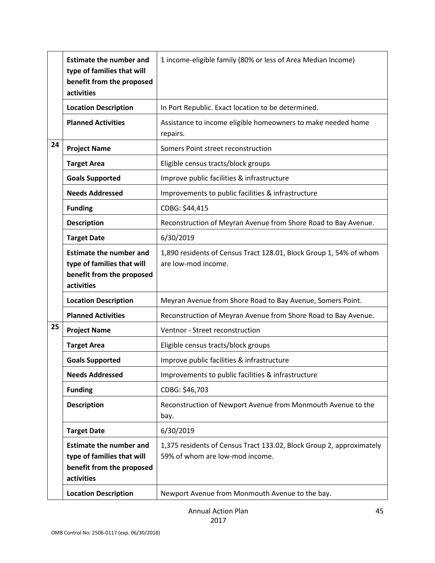|    | <b>Estimate the number and</b><br>type of families that will<br>benefit from the proposed<br>activities | 1 income-eligible family (80% or less of Area Median Income)                                            |
|----|---------------------------------------------------------------------------------------------------------|---------------------------------------------------------------------------------------------------------|
|    | <b>Location Description</b>                                                                             | In Port Republic. Exact location to be determined.                                                      |
|    | <b>Planned Activities</b>                                                                               | Assistance to income eligible homeowners to make needed home<br>repairs.                                |
| 24 | <b>Project Name</b>                                                                                     | Somers Point street reconstruction                                                                      |
|    | <b>Target Area</b>                                                                                      | Eligible census tracts/block groups                                                                     |
|    | <b>Goals Supported</b>                                                                                  | Improve public facilities & infrastructure                                                              |
|    | <b>Needs Addressed</b>                                                                                  | Improvements to public facilities & infrastructure                                                      |
|    | <b>Funding</b>                                                                                          | CDBG: \$44,415                                                                                          |
|    | <b>Description</b>                                                                                      | Reconstruction of Meyran Avenue from Shore Road to Bay Avenue.                                          |
|    | <b>Target Date</b>                                                                                      | 6/30/2019                                                                                               |
|    | <b>Estimate the number and</b><br>type of families that will<br>benefit from the proposed<br>activities | 1,890 residents of Census Tract 128.01, Block Group 1, 54% of whom<br>are low-mod income.               |
|    | <b>Location Description</b>                                                                             | Meyran Avenue from Shore Road to Bay Avenue, Somers Point.                                              |
|    | <b>Planned Activities</b>                                                                               | Reconstruction of Meyran Avenue from Shore Road to Bay Avenue.                                          |
| 25 | <b>Project Name</b>                                                                                     | Ventnor - Street reconstruction                                                                         |
|    | <b>Target Area</b>                                                                                      | Eligible census tracts/block groups                                                                     |
|    | <b>Goals Supported</b>                                                                                  | Improve public facilities & infrastructure                                                              |
|    | <b>Needs Addressed</b>                                                                                  | Improvements to public facilities & infrastructure                                                      |
|    | <b>Funding</b>                                                                                          | CDBG: \$46,703                                                                                          |
|    | <b>Description</b>                                                                                      | Reconstruction of Newport Avenue from Monmouth Avenue to the<br>bay.                                    |
|    | <b>Target Date</b>                                                                                      | 6/30/2019                                                                                               |
|    | <b>Estimate the number and</b><br>type of families that will<br>benefit from the proposed<br>activities | 1,375 residents of Census Tract 133.02, Block Group 2, approximately<br>59% of whom are low-mod income. |
|    | <b>Location Description</b>                                                                             | Newport Avenue from Monmouth Avenue to the bay.                                                         |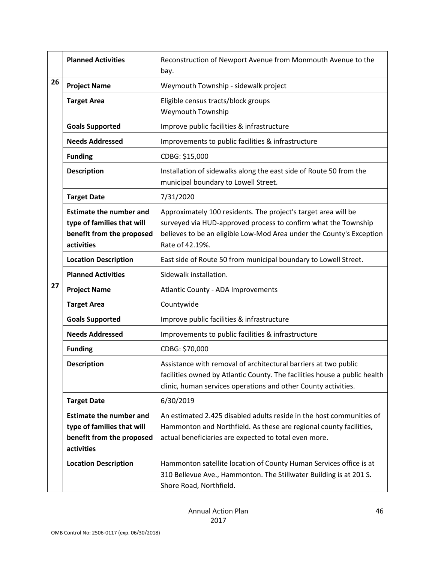|    | <b>Planned Activities</b>                                                                               | Reconstruction of Newport Avenue from Monmouth Avenue to the<br>bay.                                                                                                                                                        |
|----|---------------------------------------------------------------------------------------------------------|-----------------------------------------------------------------------------------------------------------------------------------------------------------------------------------------------------------------------------|
| 26 | <b>Project Name</b>                                                                                     | Weymouth Township - sidewalk project                                                                                                                                                                                        |
|    | <b>Target Area</b>                                                                                      | Eligible census tracts/block groups<br>Weymouth Township                                                                                                                                                                    |
|    | <b>Goals Supported</b>                                                                                  | Improve public facilities & infrastructure                                                                                                                                                                                  |
|    | <b>Needs Addressed</b>                                                                                  | Improvements to public facilities & infrastructure                                                                                                                                                                          |
|    | <b>Funding</b>                                                                                          | CDBG: \$15,000                                                                                                                                                                                                              |
|    | <b>Description</b>                                                                                      | Installation of sidewalks along the east side of Route 50 from the<br>municipal boundary to Lowell Street.                                                                                                                  |
|    | <b>Target Date</b>                                                                                      | 7/31/2020                                                                                                                                                                                                                   |
|    | <b>Estimate the number and</b><br>type of families that will<br>benefit from the proposed<br>activities | Approximately 100 residents. The project's target area will be<br>surveyed via HUD-approved process to confirm what the Township<br>believes to be an eligible Low-Mod Area under the County's Exception<br>Rate of 42.19%. |
|    | <b>Location Description</b>                                                                             | East side of Route 50 from municipal boundary to Lowell Street.                                                                                                                                                             |
|    | <b>Planned Activities</b>                                                                               | Sidewalk installation.                                                                                                                                                                                                      |
| 27 | <b>Project Name</b>                                                                                     | Atlantic County - ADA Improvements                                                                                                                                                                                          |
|    | <b>Target Area</b>                                                                                      | Countywide                                                                                                                                                                                                                  |
|    | <b>Goals Supported</b>                                                                                  | Improve public facilities & infrastructure                                                                                                                                                                                  |
|    | <b>Needs Addressed</b>                                                                                  | Improvements to public facilities & infrastructure                                                                                                                                                                          |
|    | <b>Funding</b>                                                                                          | CDBG: \$70,000                                                                                                                                                                                                              |
|    | <b>Description</b>                                                                                      | Assistance with removal of architectural barriers at two public<br>facilities owned by Atlantic County. The facilities house a public health<br>clinic, human services operations and other County activities.              |
|    | <b>Target Date</b>                                                                                      | 6/30/2019                                                                                                                                                                                                                   |
|    | <b>Estimate the number and</b><br>type of families that will<br>benefit from the proposed<br>activities | An estimated 2.425 disabled adults reside in the host communities of<br>Hammonton and Northfield. As these are regional county facilities,<br>actual beneficiaries are expected to total even more.                         |
|    | <b>Location Description</b>                                                                             | Hammonton satellite location of County Human Services office is at<br>310 Bellevue Ave., Hammonton. The Stillwater Building is at 201 S.<br>Shore Road, Northfield.                                                         |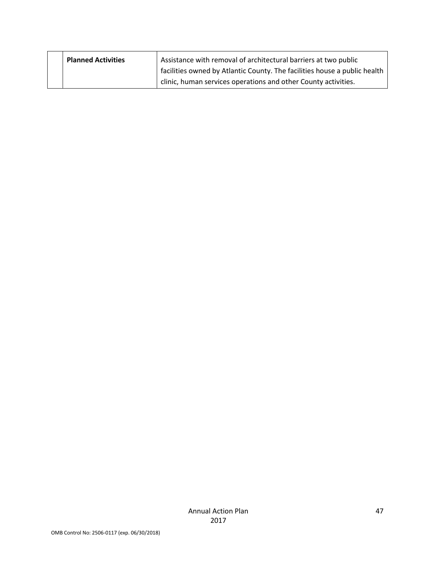| <b>Planned Activities</b> | Assistance with removal of architectural barriers at two public           |
|---------------------------|---------------------------------------------------------------------------|
|                           | facilities owned by Atlantic County. The facilities house a public health |
|                           | clinic, human services operations and other County activities.            |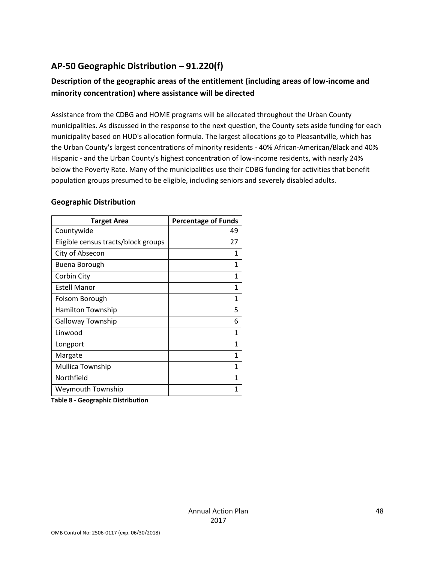### **AP-50 Geographic Distribution – 91.220(f)**

### **Description of the geographic areas of the entitlement (including areas of low-income and minority concentration) where assistance will be directed**

Assistance from the CDBG and HOME programs will be allocated throughout the Urban County municipalities. As discussed in the response to the next question, the County sets aside funding for each municipality based on HUD's allocation formula. The largest allocations go to Pleasantville, which has the Urban County's largest concentrations of minority residents - 40% African-American/Black and 40% Hispanic - and the Urban County's highest concentration of low-income residents, with nearly 24% below the Poverty Rate. Many of the municipalities use their CDBG funding for activities that benefit population groups presumed to be eligible, including seniors and severely disabled adults.

#### **Geographic Distribution**

| <b>Target Area</b>                  | <b>Percentage of Funds</b> |
|-------------------------------------|----------------------------|
| Countywide                          | 49                         |
| Eligible census tracts/block groups | 27                         |
| City of Absecon                     | 1                          |
| Buena Borough                       | 1                          |
| Corbin City                         | 1                          |
| <b>Estell Manor</b>                 | 1                          |
| Folsom Borough                      | 1                          |
| <b>Hamilton Township</b>            | 5                          |
| <b>Galloway Township</b>            | 6                          |
| Linwood                             | 1                          |
| Longport                            | 1                          |
| Margate                             | 1                          |
| Mullica Township                    | 1                          |
| Northfield                          | 1                          |
| Weymouth Township                   | 1                          |
| .                                   |                            |

**Table 8 - Geographic Distribution**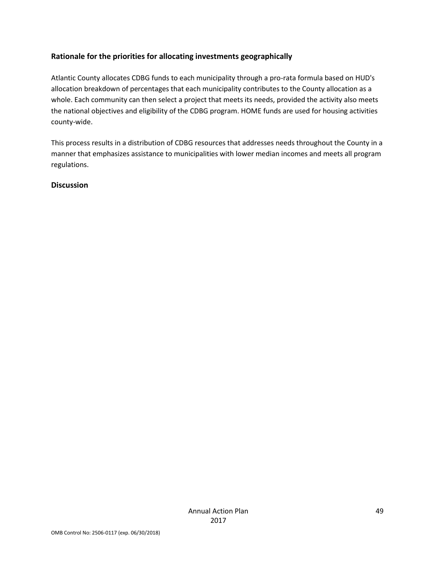#### **Rationale for the priorities for allocating investments geographically**

Atlantic County allocates CDBG funds to each municipality through a pro-rata formula based on HUD's allocation breakdown of percentages that each municipality contributes to the County allocation as a whole. Each community can then select a project that meets its needs, provided the activity also meets the national objectives and eligibility of the CDBG program. HOME funds are used for housing activities county-wide.

This process results in a distribution of CDBG resources that addresses needs throughout the County in a manner that emphasizes assistance to municipalities with lower median incomes and meets all program regulations.

#### **Discussion**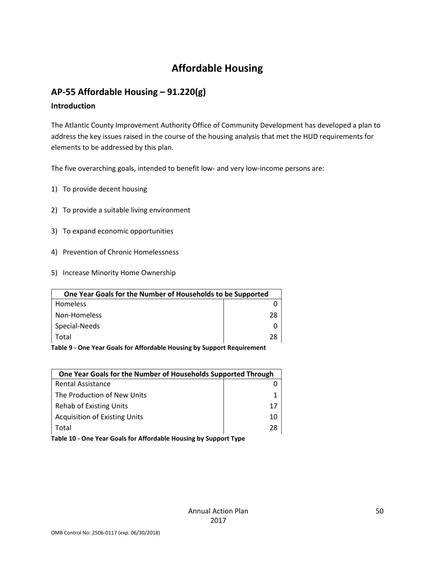# **Affordable Housing**

### **AP-55 Affordable Housing – 91.220(g)**

#### **Introduction**

The Atlantic County Improvement Authority Office of Community Development has developed a plan to address the key issues raised in the course of the housing analysis that met the HUD requirements for elements to be addressed by this plan.

The five overarching goals, intended to benefit low- and very low-income persons are:

- 1) To provide decent housing
- 2) To provide a suitable living environment
- 3) To expand economic opportunities
- 4) Prevention of Chronic Homelessness
- 5) Increase Minority Home Ownership

| One Year Goals for the Number of Households to be Supported |    |
|-------------------------------------------------------------|----|
| <b>Homeless</b>                                             |    |
| Non-Homeless                                                | 28 |
| Special-Needs                                               |    |
| Total                                                       | 28 |

**Table 9 - One Year Goals for Affordable Housing by Support Requirement**

| One Year Goals for the Number of Households Supported Through |    |
|---------------------------------------------------------------|----|
| <b>Rental Assistance</b>                                      |    |
| The Production of New Units                                   |    |
| Rehab of Existing Units                                       | 17 |
| <b>Acquisition of Existing Units</b>                          | 10 |
| Total                                                         | 28 |
|                                                               |    |

**Table 10 - One Year Goals for Affordable Housing by Support Type**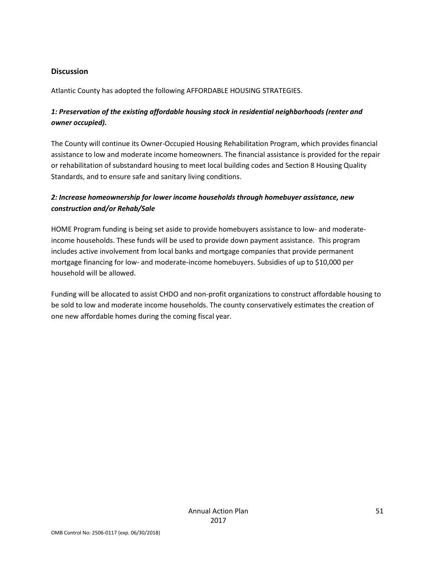#### **Discussion**

Atlantic County has adopted the following AFFORDABLE HOUSING STRATEGIES.

#### *1: Preservation of the existing affordable housing stock in residential neighborhoods (renter and owner occupied).*

The County will continue its Owner-Occupied Housing Rehabilitation Program, which provides financial assistance to low and moderate income homeowners. The financial assistance is provided for the repair or rehabilitation of substandard housing to meet local building codes and Section 8 Housing Quality Standards, and to ensure safe and sanitary living conditions.

#### *2: Increase homeownership for lower income households through homebuyer assistance, new construction and/or Rehab/Sale*

HOME Program funding is being set aside to provide homebuyers assistance to low- and moderateincome households. These funds will be used to provide down payment assistance. This program includes active involvement from local banks and mortgage companies that provide permanent mortgage financing for low- and moderate-income homebuyers. Subsidies of up to \$10,000 per household will be allowed.

Funding will be allocated to assist CHDO and non-profit organizations to construct affordable housing to be sold to low and moderate income households. The county conservatively estimates the creation of one new affordable homes during the coming fiscal year.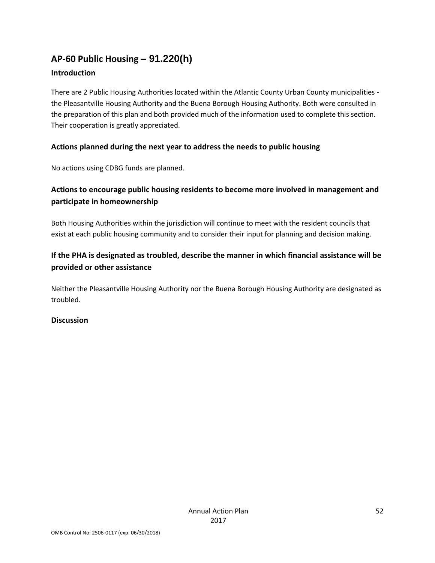### **AP-60 Public Housing** *–* **91.220(h)**

#### **Introduction**

There are 2 Public Housing Authorities located within the Atlantic County Urban County municipalities the Pleasantville Housing Authority and the Buena Borough Housing Authority. Both were consulted in the preparation of this plan and both provided much of the information used to complete this section. Their cooperation is greatly appreciated.

#### **Actions planned during the next year to address the needs to public housing**

No actions using CDBG funds are planned.

### **Actions to encourage public housing residents to become more involved in management and participate in homeownership**

Both Housing Authorities within the jurisdiction will continue to meet with the resident councils that exist at each public housing community and to consider their input for planning and decision making.

### **If the PHA is designated as troubled, describe the manner in which financial assistance will be provided or other assistance**

Neither the Pleasantville Housing Authority nor the Buena Borough Housing Authority are designated as troubled.

#### **Discussion**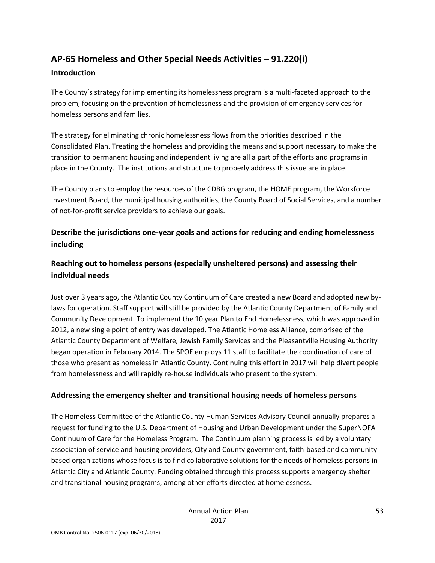# **AP-65 Homeless and Other Special Needs Activities – 91.220(i)**

#### **Introduction**

The County's strategy for implementing its homelessness program is a multi-faceted approach to the problem, focusing on the prevention of homelessness and the provision of emergency services for homeless persons and families.

The strategy for eliminating chronic homelessness flows from the priorities described in the Consolidated Plan. Treating the homeless and providing the means and support necessary to make the transition to permanent housing and independent living are all a part of the efforts and programs in place in the County. The institutions and structure to properly address this issue are in place.

The County plans to employ the resources of the CDBG program, the HOME program, the Workforce Investment Board, the municipal housing authorities, the County Board of Social Services, and a number of not-for-profit service providers to achieve our goals.

### **Describe the jurisdictions one-year goals and actions for reducing and ending homelessness including**

### **Reaching out to homeless persons (especially unsheltered persons) and assessing their individual needs**

Just over 3 years ago, the Atlantic County Continuum of Care created a new Board and adopted new bylaws for operation. Staff support will still be provided by the Atlantic County Department of Family and Community Development. To implement the 10 year Plan to End Homelessness, which was approved in 2012, a new single point of entry was developed. The Atlantic Homeless Alliance, comprised of the Atlantic County Department of Welfare, Jewish Family Services and the Pleasantville Housing Authority began operation in February 2014. The SPOE employs 11 staff to facilitate the coordination of care of those who present as homeless in Atlantic County. Continuing this effort in 2017 will help divert people from homelessness and will rapidly re-house individuals who present to the system.

#### **Addressing the emergency shelter and transitional housing needs of homeless persons**

The Homeless Committee of the Atlantic County Human Services Advisory Council annually prepares a request for funding to the U.S. Department of Housing and Urban Development under the SuperNOFA Continuum of Care for the Homeless Program. The Continuum planning process is led by a voluntary association of service and housing providers, City and County government, faith-based and communitybased organizations whose focus is to find collaborative solutions for the needs of homeless persons in Atlantic City and Atlantic County. Funding obtained through this process supports emergency shelter and transitional housing programs, among other efforts directed at homelessness.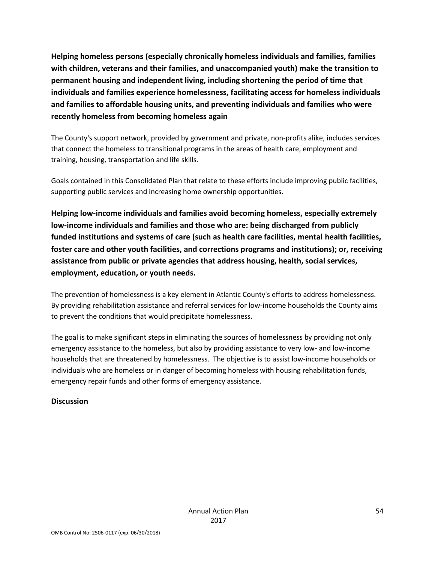**Helping homeless persons (especially chronically homeless individuals and families, families with children, veterans and their families, and unaccompanied youth) make the transition to permanent housing and independent living, including shortening the period of time that individuals and families experience homelessness, facilitating access for homeless individuals and families to affordable housing units, and preventing individuals and families who were recently homeless from becoming homeless again**

The County's support network, provided by government and private, non-profits alike, includes services that connect the homeless to transitional programs in the areas of health care, employment and training, housing, transportation and life skills.

Goals contained in this Consolidated Plan that relate to these efforts include improving public facilities, supporting public services and increasing home ownership opportunities.

**Helping low-income individuals and families avoid becoming homeless, especially extremely low-income individuals and families and those who are: being discharged from publicly funded institutions and systems of care (such as health care facilities, mental health facilities, foster care and other youth facilities, and corrections programs and institutions); or, receiving assistance from public or private agencies that address housing, health, social services, employment, education, or youth needs.**

The prevention of homelessness is a key element in Atlantic County's efforts to address homelessness. By providing rehabilitation assistance and referral services for low-income households the County aims to prevent the conditions that would precipitate homelessness.

The goal is to make significant steps in eliminating the sources of homelessness by providing not only emergency assistance to the homeless, but also by providing assistance to very low- and low-income households that are threatened by homelessness. The objective is to assist low-income households or individuals who are homeless or in danger of becoming homeless with housing rehabilitation funds, emergency repair funds and other forms of emergency assistance.

#### **Discussion**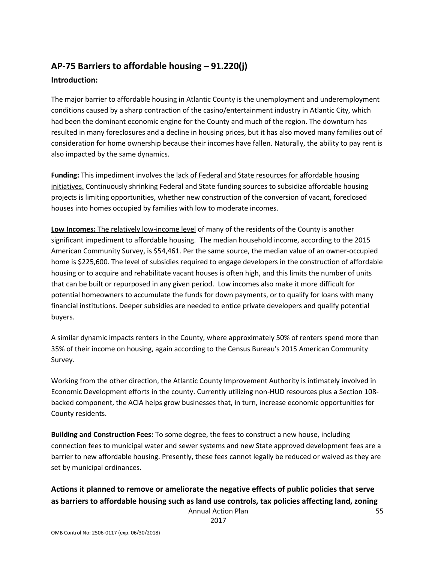### **AP-75 Barriers to affordable housing – 91.220(j) Introduction:**

The major barrier to affordable housing in Atlantic County is the unemployment and underemployment conditions caused by a sharp contraction of the casino/entertainment industry in Atlantic City, which had been the dominant economic engine for the County and much of the region. The downturn has resulted in many foreclosures and a decline in housing prices, but it has also moved many families out of consideration for home ownership because their incomes have fallen. Naturally, the ability to pay rent is also impacted by the same dynamics.

**Funding:** This impediment involves the lack of Federal and State resources for affordable housing initiatives. Continuously shrinking Federal and State funding sources to subsidize affordable housing projects is limiting opportunities, whether new construction of the conversion of vacant, foreclosed houses into homes occupied by families with low to moderate incomes.

**Low Incomes:** The relatively low-income level of many of the residents of the County is another significant impediment to affordable housing. The median household income, according to the 2015 American Community Survey, is \$54,461. Per the same source, the median value of an owner-occupied home is \$225,600. The level of subsidies required to engage developers in the construction of affordable housing or to acquire and rehabilitate vacant houses is often high, and this limits the number of units that can be built or repurposed in any given period. Low incomes also make it more difficult for potential homeowners to accumulate the funds for down payments, or to qualify for loans with many financial institutions. Deeper subsidies are needed to entice private developers and qualify potential buyers.

A similar dynamic impacts renters in the County, where approximately 50% of renters spend more than 35% of their income on housing, again according to the Census Bureau's 2015 American Community Survey.

Working from the other direction, the Atlantic County Improvement Authority is intimately involved in Economic Development efforts in the county. Currently utilizing non-HUD resources plus a Section 108 backed component, the ACIA helps grow businesses that, in turn, increase economic opportunities for County residents.

**Building and Construction Fees:** To some degree, the fees to construct a new house, including connection fees to municipal water and sewer systems and new State approved development fees are a barrier to new affordable housing. Presently, these fees cannot legally be reduced or waived as they are set by municipal ordinances.

# **Actions it planned to remove or ameliorate the negative effects of public policies that serve as barriers to affordable housing such as land use controls, tax policies affecting land, zoning**

Annual Action Plan 2017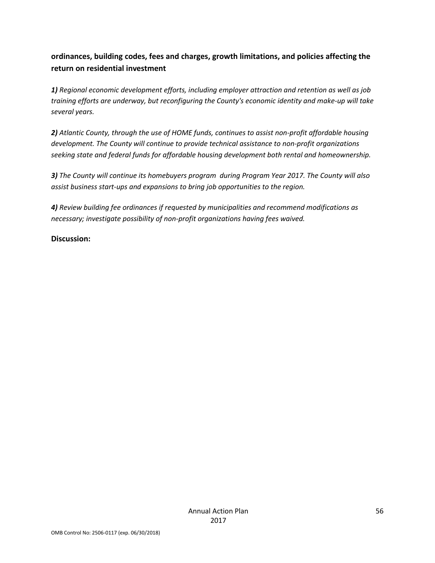### **ordinances, building codes, fees and charges, growth limitations, and policies affecting the return on residential investment**

*1) Regional economic development efforts, including employer attraction and retention as well as job training efforts are underway, but reconfiguring the County's economic identity and make-up will take several years.*

*2) Atlantic County, through the use of HOME funds, continues to assist non-profit affordable housing development. The County will continue to provide technical assistance to non-profit organizations seeking state and federal funds for affordable housing development both rental and homeownership.*

*3) The County will continue its homebuyers program during Program Year 2017. The County will also assist business start-ups and expansions to bring job opportunities to the region.*

*4) Review building fee ordinances if requested by municipalities and recommend modifications as necessary; investigate possibility of non-profit organizations having fees waived.*

#### **Discussion:**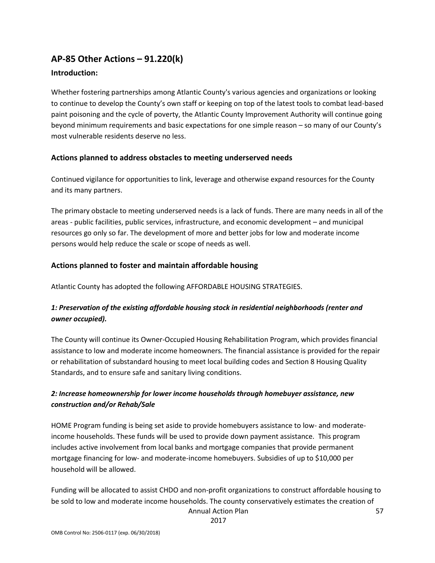### **AP-85 Other Actions – 91.220(k)**

#### **Introduction:**

Whether fostering partnerships among Atlantic County's various agencies and organizations or looking to continue to develop the County's own staff or keeping on top of the latest tools to combat lead-based paint poisoning and the cycle of poverty, the Atlantic County Improvement Authority will continue going beyond minimum requirements and basic expectations for one simple reason – so many of our County's most vulnerable residents deserve no less.

#### **Actions planned to address obstacles to meeting underserved needs**

Continued vigilance for opportunities to link, leverage and otherwise expand resources for the County and its many partners.

The primary obstacle to meeting underserved needs is a lack of funds. There are many needs in all of the areas - public facilities, public services, infrastructure, and economic development – and municipal resources go only so far. The development of more and better jobs for low and moderate income persons would help reduce the scale or scope of needs as well.

#### **Actions planned to foster and maintain affordable housing**

Atlantic County has adopted the following AFFORDABLE HOUSING STRATEGIES.

#### *1: Preservation of the existing affordable housing stock in residential neighborhoods (renter and owner occupied).*

The County will continue its Owner-Occupied Housing Rehabilitation Program, which provides financial assistance to low and moderate income homeowners. The financial assistance is provided for the repair or rehabilitation of substandard housing to meet local building codes and Section 8 Housing Quality Standards, and to ensure safe and sanitary living conditions.

#### *2: Increase homeownership for lower income households through homebuyer assistance, new construction and/or Rehab/Sale*

HOME Program funding is being set aside to provide homebuyers assistance to low- and moderateincome households. These funds will be used to provide down payment assistance. This program includes active involvement from local banks and mortgage companies that provide permanent mortgage financing for low- and moderate-income homebuyers. Subsidies of up to \$10,000 per household will be allowed.

Annual Action Plan Funding will be allocated to assist CHDO and non-profit organizations to construct affordable housing to be sold to low and moderate income households. The county conservatively estimates the creation of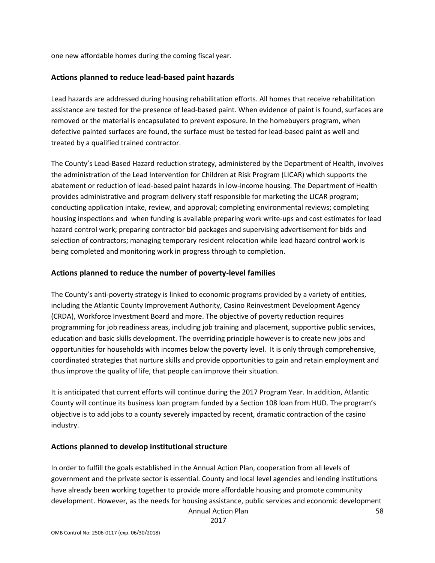one new affordable homes during the coming fiscal year.

#### **Actions planned to reduce lead-based paint hazards**

Lead hazards are addressed during housing rehabilitation efforts. All homes that receive rehabilitation assistance are tested for the presence of lead-based paint. When evidence of paint is found, surfaces are removed or the material is encapsulated to prevent exposure. In the homebuyers program, when defective painted surfaces are found, the surface must be tested for lead-based paint as well and treated by a qualified trained contractor.

The County's Lead-Based Hazard reduction strategy, administered by the Department of Health, involves the administration of the Lead Intervention for Children at Risk Program (LICAR) which supports the abatement or reduction of lead-based paint hazards in low-income housing. The Department of Health provides administrative and program delivery staff responsible for marketing the LICAR program; conducting application intake, review, and approval; completing environmental reviews; completing housing inspections and when funding is available preparing work write-ups and cost estimates for lead hazard control work; preparing contractor bid packages and supervising advertisement for bids and selection of contractors; managing temporary resident relocation while lead hazard control work is being completed and monitoring work in progress through to completion.

#### **Actions planned to reduce the number of poverty-level families**

The County's anti-poverty strategy is linked to economic programs provided by a variety of entities, including the Atlantic County Improvement Authority, Casino Reinvestment Development Agency (CRDA), Workforce Investment Board and more. The objective of poverty reduction requires programming for job readiness areas, including job training and placement, supportive public services, education and basic skills development. The overriding principle however is to create new jobs and opportunities for households with incomes below the poverty level. It is only through comprehensive, coordinated strategies that nurture skills and provide opportunities to gain and retain employment and thus improve the quality of life, that people can improve their situation.

It is anticipated that current efforts will continue during the 2017 Program Year. In addition, Atlantic County will continue its business loan program funded by a Section 108 loan from HUD. The program's objective is to add jobs to a county severely impacted by recent, dramatic contraction of the casino industry.

#### **Actions planned to develop institutional structure**

Annual Action Plan In order to fulfill the goals established in the Annual Action Plan, cooperation from all levels of government and the private sector is essential. County and local level agencies and lending institutions have already been working together to provide more affordable housing and promote community development. However, as the needs for housing assistance, public services and economic development

2017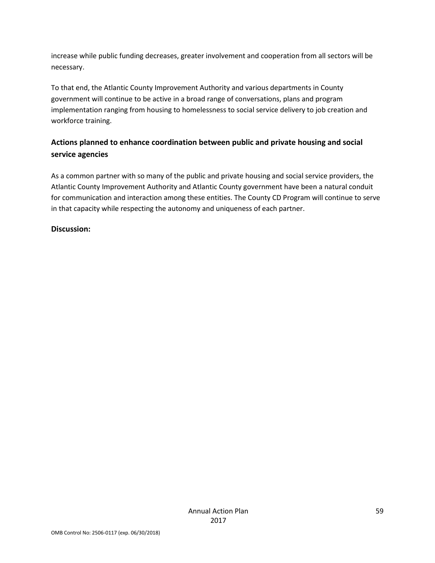increase while public funding decreases, greater involvement and cooperation from all sectors will be necessary.

To that end, the Atlantic County Improvement Authority and various departments in County government will continue to be active in a broad range of conversations, plans and program implementation ranging from housing to homelessness to social service delivery to job creation and workforce training.

### **Actions planned to enhance coordination between public and private housing and social service agencies**

As a common partner with so many of the public and private housing and social service providers, the Atlantic County Improvement Authority and Atlantic County government have been a natural conduit for communication and interaction among these entities. The County CD Program will continue to serve in that capacity while respecting the autonomy and uniqueness of each partner.

#### **Discussion:**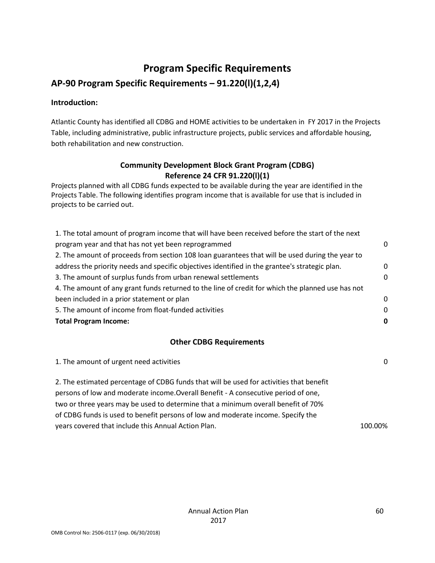### **Program Specific Requirements**

### **AP-90 Program Specific Requirements – 91.220(l)(1,2,4)**

#### **Introduction:**

Atlantic County has identified all CDBG and HOME activities to be undertaken in FY 2017 in the Projects Table, including administrative, public infrastructure projects, public services and affordable housing, both rehabilitation and new construction.

#### **Community Development Block Grant Program (CDBG) Reference 24 CFR 91.220(l)(1)**

Projects planned with all CDBG funds expected to be available during the year are identified in the Projects Table. The following identifies program income that is available for use that is included in projects to be carried out.

| 1. The total amount of program income that will have been received before the start of the next   |          |
|---------------------------------------------------------------------------------------------------|----------|
| program year and that has not yet been reprogrammed                                               | $\Omega$ |
| 2. The amount of proceeds from section 108 loan guarantees that will be used during the year to   |          |
| address the priority needs and specific objectives identified in the grantee's strategic plan.    | 0        |
| 3. The amount of surplus funds from urban renewal settlements                                     | $\Omega$ |
| 4. The amount of any grant funds returned to the line of credit for which the planned use has not |          |
| been included in a prior statement or plan                                                        | $\Omega$ |
| 5. The amount of income from float-funded activities                                              | $\Omega$ |
| <b>Total Program Income:</b>                                                                      |          |

#### **Other CDBG Requirements**

| 1. The amount of urgent need activities                                                 | $\Omega$ |
|-----------------------------------------------------------------------------------------|----------|
| 2. The estimated percentage of CDBG funds that will be used for activities that benefit |          |
| persons of low and moderate income. Overall Benefit - A consecutive period of one,      |          |
| two or three years may be used to determine that a minimum overall benefit of 70%       |          |
| of CDBG funds is used to benefit persons of low and moderate income. Specify the        |          |
| years covered that include this Annual Action Plan.                                     | 100.00%  |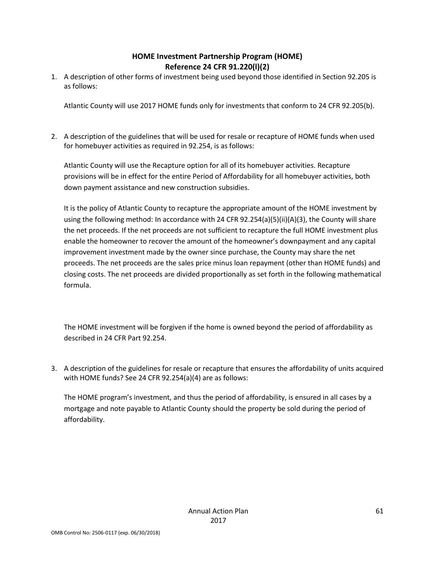#### **HOME Investment Partnership Program (HOME) Reference 24 CFR 91.220(l)(2)**

1. A description of other forms of investment being used beyond those identified in Section 92.205 is as follows:

Atlantic County will use 2017 HOME funds only for investments that conform to 24 CFR 92.205(b).

2. A description of the guidelines that will be used for resale or recapture of HOME funds when used for homebuyer activities as required in 92.254, is as follows:

Atlantic County will use the Recapture option for all of its homebuyer activities. Recapture provisions will be in effect for the entire Period of Affordability for all homebuyer activities, both down payment assistance and new construction subsidies.

It is the policy of Atlantic County to recapture the appropriate amount of the HOME investment by using the following method: In accordance with 24 CFR 92.254(a)(5)(ii)(A)(3), the County will share the net proceeds. If the net proceeds are not sufficient to recapture the full HOME investment plus enable the homeowner to recover the amount of the homeowner's downpayment and any capital improvement investment made by the owner since purchase, the County may share the net proceeds. The net proceeds are the sales price minus loan repayment (other than HOME funds) and closing costs. The net proceeds are divided proportionally as set forth in the following mathematical formula.

The HOME investment will be forgiven if the home is owned beyond the period of affordability as described in 24 CFR Part 92.254.

3. A description of the guidelines for resale or recapture that ensures the affordability of units acquired with HOME funds? See 24 CFR 92.254(a)(4) are as follows:

The HOME program's investment, and thus the period of affordability, is ensured in all cases by a mortgage and note payable to Atlantic County should the property be sold during the period of affordability.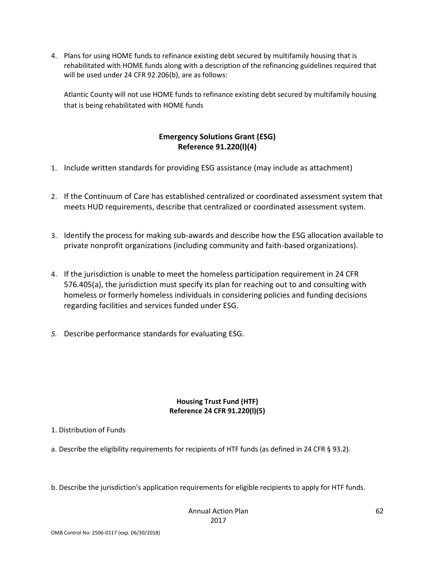4. Plans for using HOME funds to refinance existing debt secured by multifamily housing that is rehabilitated with HOME funds along with a description of the refinancing guidelines required that will be used under 24 CFR 92.206(b), are as follows:

Atlantic County will not use HOME funds to refinance existing debt secured by multifamily housing that is being rehabilitated with HOME funds

#### **Emergency Solutions Grant (ESG) Reference 91.220(l)(4)**

- 1. Include written standards for providing ESG assistance (may include as attachment)
- 2. If the Continuum of Care has established centralized or coordinated assessment system that meets HUD requirements, describe that centralized or coordinated assessment system.
- 3. Identify the process for making sub-awards and describe how the ESG allocation available to private nonprofit organizations (including community and faith-based organizations).
- 4. If the jurisdiction is unable to meet the homeless participation requirement in 24 CFR 576.405(a), the jurisdiction must specify its plan for reaching out to and consulting with homeless or formerly homeless individuals in considering policies and funding decisions regarding facilities and services funded under ESG.
- *5.* Describe performance standards for evaluating ESG.

#### **Housing Trust Fund (HTF) Reference 24 CFR 91.220(l)(5)**

#### 1. Distribution of Funds

- a. Describe the eligibility requirements for recipients of HTF funds (as defined in 24 CFR § 93.2).
- b. Describe the jurisdiction's application requirements for eligible recipients to apply for HTF funds.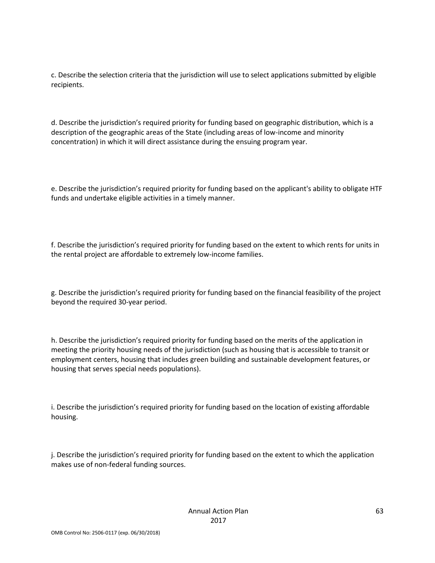c. Describe the selection criteria that the jurisdiction will use to select applications submitted by eligible recipients.

d. Describe the jurisdiction's required priority for funding based on geographic distribution, which is a description of the geographic areas of the State (including areas of low-income and minority concentration) in which it will direct assistance during the ensuing program year.

e. Describe the jurisdiction's required priority for funding based on the applicant's ability to obligate HTF funds and undertake eligible activities in a timely manner.

f. Describe the jurisdiction's required priority for funding based on the extent to which rents for units in the rental project are affordable to extremely low-income families.

g. Describe the jurisdiction's required priority for funding based on the financial feasibility of the project beyond the required 30-year period.

h. Describe the jurisdiction's required priority for funding based on the merits of the application in meeting the priority housing needs of the jurisdiction (such as housing that is accessible to transit or employment centers, housing that includes green building and sustainable development features, or housing that serves special needs populations).

i. Describe the jurisdiction's required priority for funding based on the location of existing affordable housing.

j. Describe the jurisdiction's required priority for funding based on the extent to which the application makes use of non-federal funding sources.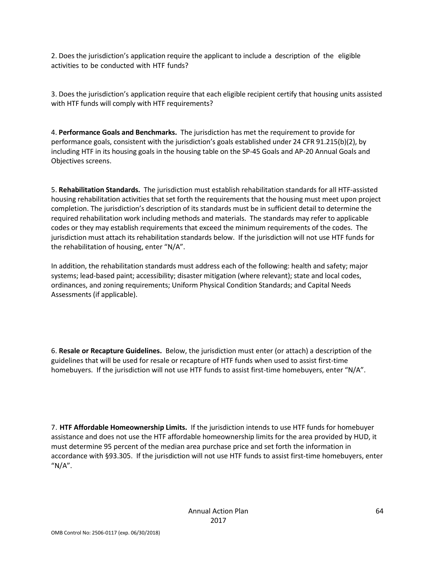2. Does the jurisdiction's application require the applicant to include a description of the eligible activities to be conducted with HTF funds?

3. Does the jurisdiction's application require that each eligible recipient certify that housing units assisted with HTF funds will comply with HTF requirements?

4. **Performance Goals and Benchmarks.** The jurisdiction has met the requirement to provide for performance goals, consistent with the jurisdiction's goals established under 24 CFR 91.215(b)(2), by including HTF in its housing goals in the housing table on the SP-45 Goals and AP-20 Annual Goals and Objectives screens.

5. **Rehabilitation Standards.** The jurisdiction must establish rehabilitation standards for all HTF-assisted housing rehabilitation activities that set forth the requirements that the housing must meet upon project completion. The jurisdiction's description of its standards must be in sufficient detail to determine the required rehabilitation work including methods and materials. The standards may refer to applicable codes or they may establish requirements that exceed the minimum requirements of the codes. The jurisdiction must attach its rehabilitation standards below. If the jurisdiction will not use HTF funds for the rehabilitation of housing, enter "N/A".

In addition, the rehabilitation standards must address each of the following: health and safety; major systems; lead-based paint; accessibility; disaster mitigation (where relevant); state and local codes, ordinances, and zoning requirements; Uniform Physical Condition Standards; and Capital Needs Assessments (if applicable).

6. **Resale or Recapture Guidelines.** Below, the jurisdiction must enter (or attach) a description of the guidelines that will be used for resale or recapture of HTF funds when used to assist first-time homebuyers. If the jurisdiction will not use HTF funds to assist first-time homebuyers, enter "N/A".

7. **HTF Affordable Homeownership Limits.** If the jurisdiction intends to use HTF funds for homebuyer assistance and does not use the HTF affordable homeownership limits for the area provided by HUD, it must determine 95 percent of the median area purchase price and set forth the information in accordance with §93.305. If the jurisdiction will not use HTF funds to assist first-time homebuyers, enter  $''N/A''$ .